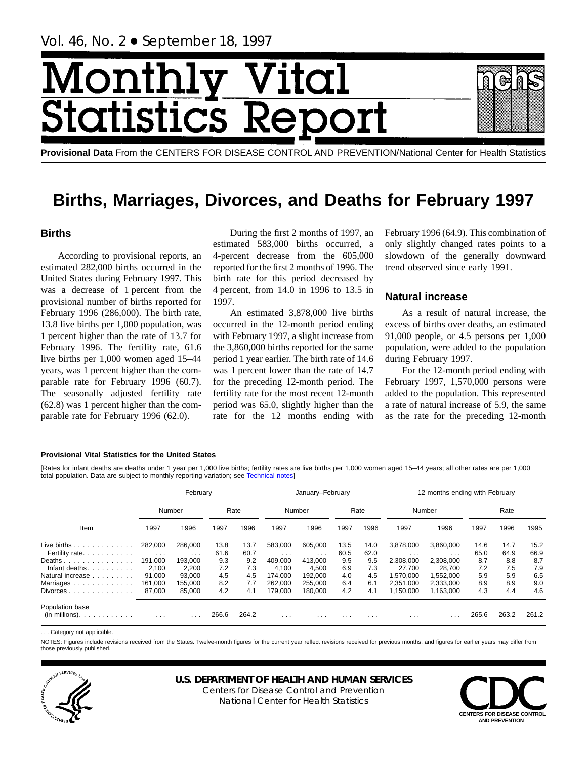# Month **Ital** tatist tics F

**Provisional Data** From the CENTERS FOR DISEASE CONTROL AND PREVENTION/National Center for Health Statistics

## **Births, Marriages, Divorces, and Deaths for February 1997**

## **Births**

According to provisional reports, an estimated 282,000 births occurred in the United States during February 1997. This was a decrease of 1 percent from the provisional number of births reported for February 1996 (286,000). The birth rate, 13.8 live births per 1,000 population, was 1 percent higher than the rate of 13.7 for February 1996. The fertility rate, 61.6 live births per 1,000 women aged 15–44 years, was 1 percent higher than the comparable rate for February 1996 (60.7). The seasonally adjusted fertility rate (62.8) was 1 percent higher than the comparable rate for February 1996 (62.0).

During the first 2 months of 1997, an estimated 583,000 births occurred, a 4-percent decrease from the 605,000 reported for the first 2 months of 1996. The birth rate for this period decreased by 4 percent, from 14.0 in 1996 to 13.5 in 1997.

An estimated 3,878,000 live births occurred in the 12-month period ending with February 1997, a slight increase from the 3,860,000 births reported for the same period 1 year earlier. The birth rate of 14.6 was 1 percent lower than the rate of 14.7 for the preceding 12-month period. The fertility rate for the most recent 12-month period was 65.0, slightly higher than the rate for the 12 months ending with February 1996 (64.9). This combination of only slightly changed rates points to a slowdown of the generally downward trend observed since early 1991.

## **Natural increase**

As a result of natural increase, the excess of births over deaths, an estimated 91,000 people, or 4.5 persons per 1,000 population, were added to the population during February 1997.

For the 12-month period ending with February 1997, 1,570,000 persons were added to the population. This represented a rate of natural increase of 5.9, the same as the rate for the preceding 12-month

#### **Provisional Vital Statistics for the United States**

[Rates for infant deaths are deaths under 1 year per 1,000 live births; fertility rates are live births per 1,000 women aged 15–44 years; all other rates are per 1,000 total population. Data are subject to monthly reporting variation; see [Technical notes\]](#page-16-0)

|                                               | February             |                         |       |       | January-February        |                         |          |          | 12 months ending with February |           |       |       |       |  |
|-----------------------------------------------|----------------------|-------------------------|-------|-------|-------------------------|-------------------------|----------|----------|--------------------------------|-----------|-------|-------|-------|--|
|                                               | Number               |                         |       | Rate  |                         | Number                  |          | Rate     |                                | Number    |       | Rate  |       |  |
| Item                                          | 1997                 | 1996                    | 1997  | 1996  | 1997                    | 1996                    | 1997     | 1996     | 1997                           | 1996      | 1997  | 1996  | 1995  |  |
| Live births.<br>and a straight and a straight | 282,000              | 286,000                 | 13.8  | 13.7  | 583.000                 | 605.000                 | 13.5     | 14.0     | 3,878,000                      | 3,860,000 | 14.6  | 14.7  | 15.2  |  |
| Fertility rate.                               | $\sim$ $\sim$ $\sim$ | $\cdot$ $\cdot$ $\cdot$ | 61.6  | 60.7  | $\cdot$ $\cdot$ $\cdot$ | $\cdot$ $\cdot$ $\cdot$ | 60.5     | 62.0     | $\cdots$                       | $\cdots$  | 65.0  | 64.9  | 66.9  |  |
| Deaths                                        | 191,000              | 193.000                 | 9.3   | 9.2   | 409.000                 | 413.000                 | 9.5      | 9.5      | 2,308,000                      | 2.308.000 | 8.7   | 8.8   | 8.7   |  |
| Infant deaths.<br>.                           | 2.100                | 2.200                   | 7.2   | 7.3   | 4.100                   | 4.500                   | 6.9      | 7.3      | 27.700                         | 28.700    | 7.2   | 7.5   | 7.9   |  |
| Natural increase                              | 91,000               | 93.000                  | 4.5   | 4.5   | 174.000                 | 192.000                 | 4.0      | 4.5      | 1.570.000                      | 1.552.000 | 5.9   | 5.9   | 6.5   |  |
| Marriages                                     | 161,000              | 155.000                 | 8.2   | 7.7   | 262,000                 | 255.000                 | 6.4      | 6.1      | 2.351.000                      | 2.333.000 | 8.9   | 8.9   | 9.0   |  |
| $Divorces \dots \dots \dots \dots \dots$      | 87.000               | 85.000                  | 4.2   | 4.1   | 179.000                 | 180,000                 | 4.2      | 4.1      | 1,150,000                      | 1,163,000 | 4.3   | 4.4   | 4.6   |  |
| Population base<br>$(in$ millions $)$         | $\cdots$             | $\cdots$                | 266.6 | 264.2 | $\cdots$                | $\cdot$ $\cdot$ $\cdot$ | $\cdots$ | $\cdots$ | $\cdots$                       | .         | 265.6 | 263.2 | 261.2 |  |

... Category not applicable

NOTES: Figures include revisions received from the States. Twelve-month figures for the current year reflect revisions received for previous months, and figures for earlier years may differ from those previously published.



## **U.S. DEPARTMENT OF HEALTH AND HUMAN SERVICES**

Centers for Disease Control and Prevention National Center for Health Statistics

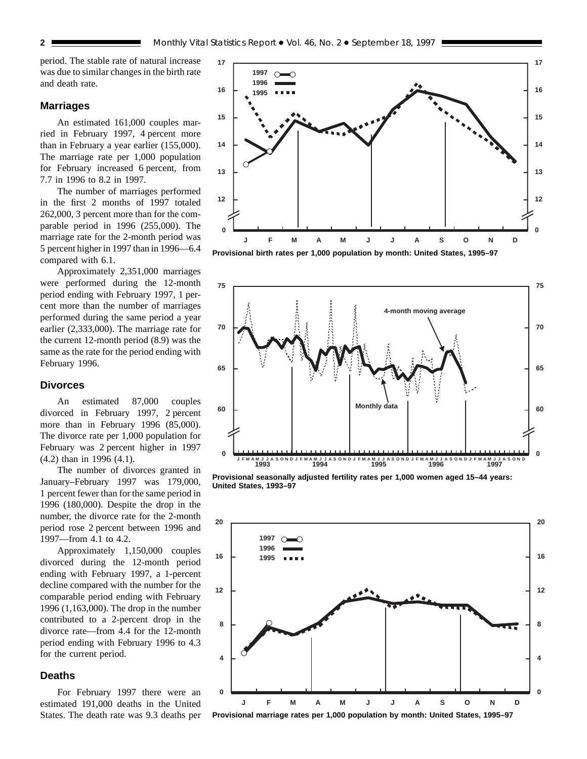period. The stable rate of natural increase was due to similar changes in the birth rate and death rate.

#### **Marriages**

An estimated 161,000 couples married in February 1997, 4 percent more than in February a year earlier (155,000). The marriage rate per 1,000 population for February increased 6 percent, from 7.7 in 1996 to 8.2 in 1997.

The number of marriages performed in the first 2 months of 1997 totaled 262,000, 3 percent more than for the comparable period in 1996 (255,000). The marriage rate for the 2-month period was 5 percent higher in 1997 than in 1996—6.4 compared with 6.1.

Approximately 2,351,000 marriages were performed during the 12-month period ending with February 1997, 1 percent more than the number of marriages performed during the same period a year earlier (2,333,000). The marriage rate for the current 12-month period (8.9) was the same as the rate for the period ending with February 1996.

#### **Divorces**

An estimated 87,000 couples divorced in February 1997, 2 percent more than in February 1996 (85,000). The divorce rate per 1,000 population for February was 2 percent higher in 1997 (4.2) than in 1996 (4.1).

The number of divorces granted in January–February 1997 was 179,000, 1 percent fewer than for the same period in 1996 (180,000). Despite the drop in the number, the divorce rate for the 2-month period rose 2 percent between 1996 and 1997—from 4.1 to 4.2.

Approximately 1,150,000 couples divorced during the 12-month period ending with February 1997, a 1-percent decline compared with the number for the comparable period ending with February 1996 (1,163,000). The drop in the number contributed to a 2-percent drop in the divorce rate—from 4.4 for the 12-month period ending with February 1996 to 4.3 for the current period.

#### **Deaths**

For February 1997 there were an estimated 191,000 deaths in the United States. The death rate was 9.3 deaths per







**Provisional seasonally adjusted fertility rates per 1,000 women aged 15–44 years: United States, 1993–97**



**Provisional marriage rates per 1,000 population by month: United States, 1995–97**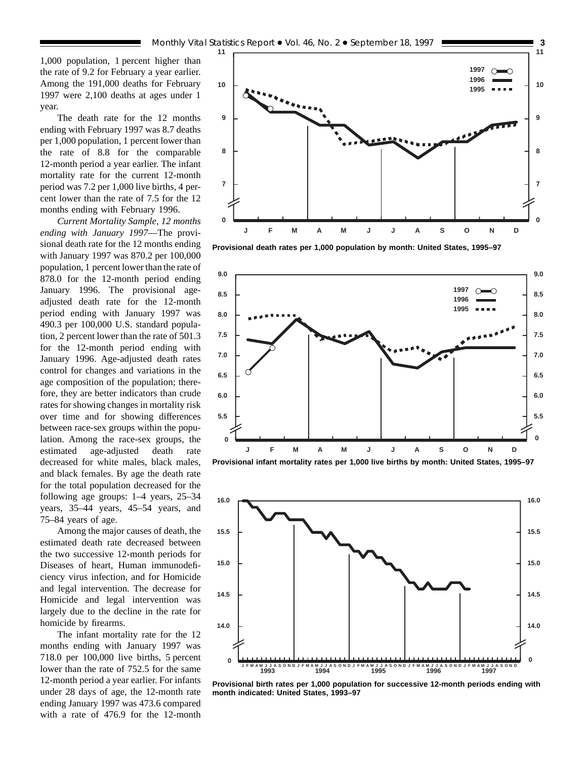1,000 population, 1 percent higher than the rate of 9.2 for February a year earlier. Among the 191,000 deaths for February 1997 were 2,100 deaths at ages under 1 year.

The death rate for the 12 months ending with February 1997 was 8.7 deaths per 1,000 population, 1 percent lower than the rate of 8.8 for the comparable 12-month period a year earlier. The infant mortality rate for the current 12-month period was 7.2 per 1,000 live births, 4 percent lower than the rate of 7.5 for the 12 months ending with February 1996.

*Current Mortality Sample, 12 months ending with January 1997*—The provisional death rate for the 12 months ending with January 1997 was 870.2 per 100,000 population, 1 percent lower than the rate of 878.0 for the 12-month period ending January 1996. The provisional ageadjusted death rate for the 12-month period ending with January 1997 was 490.3 per 100,000 U.S. standard population, 2 percent lower than the rate of 501.3 for the 12-month period ending with January 1996. Age-adjusted death rates control for changes and variations in the age composition of the population; therefore, they are better indicators than crude rates for showing changes in mortality risk over time and for showing differences between race-sex groups within the population. Among the race-sex groups, the estimated age-adjusted death rate decreased for white males, black males, and black females. By age the death rate for the total population decreased for the following age groups: 1–4 years, 25–34 years, 35–44 years, 45–54 years, and 75–84 years of age.

Among the major causes of death, the estimated death rate decreased between the two successive 12-month periods for Diseases of heart, Human immunodeficiency virus infection, and for Homicide and legal intervention. The decrease for Homicide and legal intervention was largely due to the decline in the rate for homicide by firearms.

The infant mortality rate for the 12 months ending with January 1997 was 718.0 per 100,000 live births, 5 percent lower than the rate of 752.5 for the same 12-month period a year earlier. For infants under 28 days of age, the 12-month rate ending January 1997 was 473.6 compared with a rate of 476.9 for the 12-month



**Provisional death rates per 1,000 population by month: United States, 1995–97**



**Provisional infant mortality rates per 1,000 live births by month: United States, 1995–97**



**Provisional birth rates per 1,000 population for successive 12-month periods ending with month indicated: United States, 1993–97**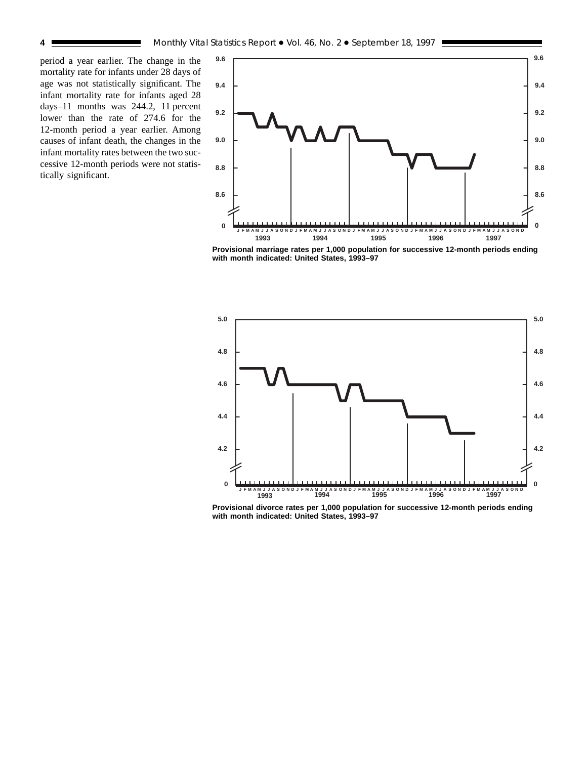period a year earlier. The change in the mortality rate for infants under 28 days of age was not statistically significant. The infant mortality rate for infants aged 28 days–11 months was 244.2, 11 percent lower than the rate of 274.6 for the 12-month period a year earlier. Among causes of infant death, the changes in the infant mortality rates between the two successive 12-month periods were not statistically significant.



**Provisional marriage rates per 1,000 population for successive 12-month periods ending with month indicated: United States, 1993–97**



**Provisional divorce rates per 1,000 population for successive 12-month periods ending with month indicated: United States, 1993–97**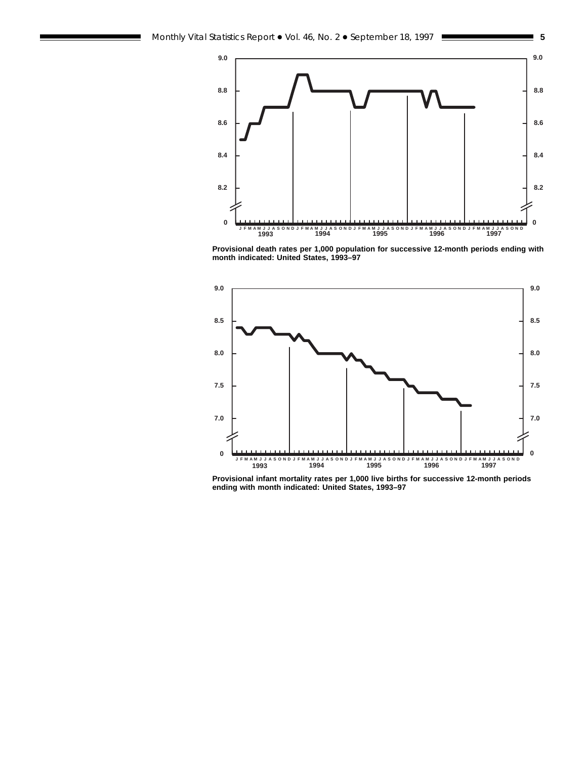

**Provisional death rates per 1,000 population for successive 12-month periods ending with month indicated: United States, 1993–97**



**Provisional infant mortality rates per 1,000 live births for successive 12-month periods ending with month indicated: United States, 1993–97**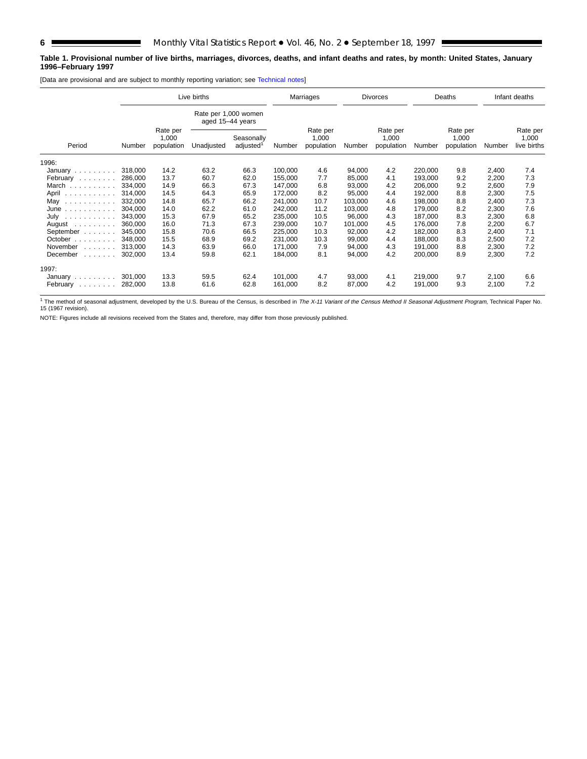#### **Table 1. Provisional number of live births, marriages, divorces, deaths, and infant deaths and rates, by month: United States, January 1996–February 1997**

[Data are provisional and are subject to monthly reporting variation; see [Technical notes\]](#page-16-0)

|                                                                                                   |         |                                 | Live births                              |                                     |         | Marriages                       |         | <b>Divorces</b>                 |         | Deaths                          |        | Infant deaths                    |
|---------------------------------------------------------------------------------------------------|---------|---------------------------------|------------------------------------------|-------------------------------------|---------|---------------------------------|---------|---------------------------------|---------|---------------------------------|--------|----------------------------------|
|                                                                                                   |         |                                 | Rate per 1,000 women<br>aged 15-44 years |                                     |         |                                 |         |                                 |         |                                 |        |                                  |
| Period                                                                                            | Number  | Rate per<br>1,000<br>population | Unadjusted                               | Seasonally<br>adjusted <sup>1</sup> | Number  | Rate per<br>1,000<br>population | Number  | Rate per<br>1,000<br>population | Number  | Rate per<br>1,000<br>population | Number | Rate per<br>1,000<br>live births |
| 1996:                                                                                             |         |                                 |                                          |                                     |         |                                 |         |                                 |         |                                 |        |                                  |
| January $\ldots \ldots \ldots$                                                                    | 318,000 | 14.2                            | 63.2                                     | 66.3                                | 100,000 | 4.6                             | 94,000  | 4.2                             | 220,000 | 9.8                             | 2,400  | 7.4                              |
| February                                                                                          | 286,000 | 13.7                            | 60.7                                     | 62.0                                | 155,000 | 7.7                             | 85,000  | 4.1                             | 193,000 | 9.2                             | 2,200  | 7.3                              |
| March                                                                                             | 334.000 | 14.9                            | 66.3                                     | 67.3                                | 147,000 | 6.8                             | 93,000  | 4.2                             | 206,000 | 9.2                             | 2,600  | 7.9                              |
| April                                                                                             | 314,000 | 14.5                            | 64.3                                     | 65.9                                | 172,000 | 8.2                             | 95,000  | 4.4                             | 192,000 | 8.8                             | 2,300  | 7.5                              |
| May $\ldots$                                                                                      | 332,000 | 14.8                            | 65.7                                     | 66.2                                | 241,000 | 10.7                            | 103,000 | 4.6                             | 198,000 | 8.8                             | 2,400  | 7.3                              |
| June                                                                                              | 304.000 | 14.0                            | 62.2                                     | 61.0                                | 242,000 | 11.2                            | 103,000 | 4.8                             | 179,000 | 8.2                             | 2,300  | 7.6                              |
| July<br>$\begin{array}{cccccccccccccc} . & . & . & . & . & . & . & . & . & . & . & . \end{array}$ | 343.000 | 15.3                            | 67.9                                     | 65.2                                | 235,000 | 10.5                            | 96.000  | 4.3                             | 187.000 | 8.3                             | 2,300  | 6.8                              |
| August $\ldots$ , $\ldots$                                                                        | 360,000 | 16.0                            | 71.3                                     | 67.3                                | 239,000 | 10.7                            | 101,000 | 4.5                             | 176,000 | 7.8                             | 2,200  | 6.7                              |
| September                                                                                         | 345,000 | 15.8                            | 70.6                                     | 66.5                                | 225,000 | 10.3                            | 92,000  | 4.2                             | 182,000 | 8.3                             | 2,400  | 7.1                              |
| October $\ldots$                                                                                  | 348,000 | 15.5                            | 68.9                                     | 69.2                                | 231.000 | 10.3                            | 99,000  | 4.4                             | 188,000 | 8.3                             | 2,500  | 7.2                              |
| November<br>1.1.1.1.1.1                                                                           | 313.000 | 14.3                            | 63.9                                     | 66.0                                | 171,000 | 7.9                             | 94.000  | 4.3                             | 191.000 | 8.8                             | 2,300  | 7.2                              |
| December<br>and a straight                                                                        | 302,000 | 13.4                            | 59.8                                     | 62.1                                | 184,000 | 8.1                             | 94,000  | 4.2                             | 200,000 | 8.9                             | 2,300  | 7.2                              |
| 1997:                                                                                             |         |                                 |                                          |                                     |         |                                 |         |                                 |         |                                 |        |                                  |
| January $\ldots \ldots \ldots$                                                                    | 301,000 | 13.3                            | 59.5                                     | 62.4                                | 101,000 | 4.7                             | 93,000  | 4.1                             | 219,000 | 9.7                             | 2,100  | 6.6                              |
| February<br>and a straight and                                                                    | 282,000 | 13.8                            | 61.6                                     | 62.8                                | 161,000 | 8.2                             | 87,000  | 4.2                             | 191,000 | 9.3                             | 2,100  | 7.2                              |

<sup>1</sup> The method of seasonal adjustment, developed by the U.S. Bureau of the Census, is described in *The X-11 Variant of the Census Method II Seasonal Adjustment Program,* Technical Paper No.<br>15 (1967 revision).

NOTE: Figures include all revisions received from the States and, therefore, may differ from those previously published.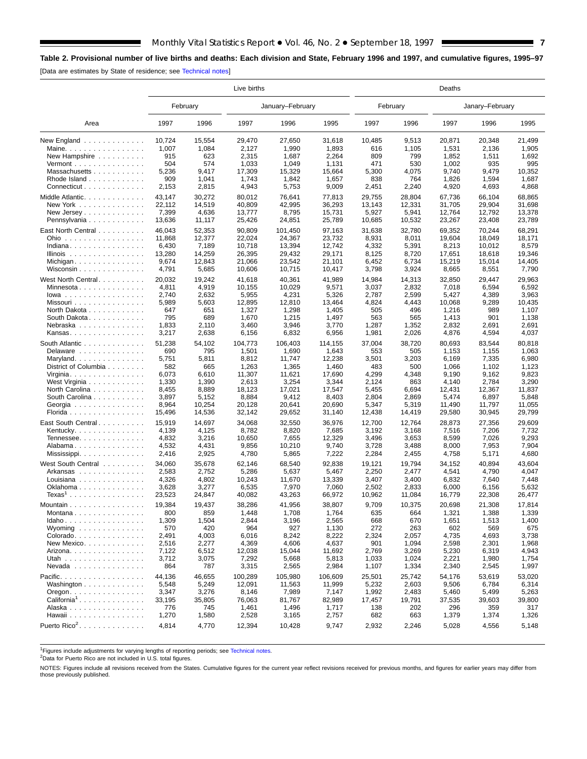## <span id="page-6-0"></span>**Table 2. Provisional number of live births and deaths: Each division and State, February 1996 and 1997, and cumulative figures, 1995–97**

[Data are estimates by State of residence; see [Technical notes\]](#page-16-0)

E

|                                             |        |          | Live births |                  |         |        |          | Deaths |                 |        |
|---------------------------------------------|--------|----------|-------------|------------------|---------|--------|----------|--------|-----------------|--------|
|                                             |        | February |             | January-February |         |        | February |        | Janary-February |        |
| Area                                        | 1997   | 1996     | 1997        | 1996             | 1995    | 1997   | 1996     | 1997   | 1996            | 1995   |
| New England $\ldots$ ,                      | 10,724 | 15,554   | 29,470      | 27,650           | 31,618  | 10,485 | 9,513    | 20,871 | 20,348          | 21,499 |
| Maine. $\ldots$                             | 1,007  | 1,084    | 2,127       | 1,990            | 1,893   | 616    | 1,105    | 1,531  | 2,136           | 1,905  |
| New Hampshire                               | 915    | 623      | 2,315       | 1,687            | 2,264   | 809    | 799      | 1,852  | 1,511           | 1,692  |
| Vermont $\dots\dots\dots\dots\dots\dots$    | 504    | 574      | 1,033       | 1,049            | 1,131   | 471    | 530      | 1,002  | 935             | 995    |
| Massachusetts                               | 5,236  | 9,417    | 17,309      | 15,329           | 15,664  | 5,300  | 4,075    | 9,740  | 9,479           | 10,352 |
| Rhode Island                                | 909    | 1,041    | 1,743       | 1,842            | 1,657   | 838    | 764      | 1,826  | 1,594           | 1,687  |
| Connecticut                                 | 2,153  | 2,815    | 4,943       | 5,753            | 9,009   | 2,451  | 2,240    | 4,920  | 4,693           | 4,868  |
| Middle Atlantic.                            | 43,147 | 30,272   | 80,012      | 76,641           | 77,813  | 29,755 | 28,804   | 67,736 | 66,104          | 68,865 |
| New York                                    | 22,112 | 14,519   | 40,809      | 42,995           | 36,293  | 13,143 | 12,331   | 31,705 | 29,904          | 31,698 |
|                                             | 7,399  | 4,636    | 13,777      | 8,795            | 15,731  | 5,927  | 5,941    | 12,764 | 12,792          | 13,378 |
| Pennsylvania                                | 13,636 | 11,117   | 25,426      | 24,851           | 25,789  | 10,685 | 10,532   | 23,267 | 23,408          | 23,789 |
| East North Central                          | 46,043 | 52,353   | 90,809      | 101,450          | 97,163  | 31,638 | 32,780   | 69,352 | 70,244          | 68,291 |
| Ohio                                        | 11,868 | 12,377   | 22,024      | 24,367           | 23,732  | 8,931  | 8,011    | 19,604 | 18,049          | 18,171 |
| Indiana                                     | 6,430  | 7,189    | 10,718      | 13,394           | 12,742  | 4,332  | 5,391    | 8,213  | 10,012          | 8,579  |
| Illinois                                    | 13,280 | 14,259   | 26,395      | 29,432           | 29,171  | 8,125  | 8,720    | 17,651 | 18,618          | 19,346 |
| Michigan                                    | 9,674  | 12,843   | 21,066      | 23,542           | 21,101  | 6,452  | 6,734    | 15,219 | 15,014          | 14,405 |
| Wisconsin                                   | 4,791  | 5,685    | 10,606      | 10,715           | 10,417  | 3,798  | 3,924    | 8,665  | 8,551           | 7,790  |
| West North Central.                         | 20,032 | 19,242   | 41,618      | 40,361           | 41,989  | 14,984 | 14,313   | 32,850 | 29,447          | 29,963 |
| Minnesota                                   | 4,811  | 4,919    | 10,155      | 10,029           | 9,571   | 3,037  | 2,832    | 7,018  | 6,594           | 6,592  |
| $lowa$                                      | 2,740  | 2,632    | 5,955       | 4,231            | 5,326   | 2,787  | 2,599    | 5,427  | 4,389           | 3,963  |
| Missouri                                    | 5,989  | 5,603    | 12,895      | 12,810           | 13,464  | 4,824  | 4,443    | 10,068 | 9,289           | 10,435 |
| North Dakota                                | 647    | 651      | 1,327       | 1,298            | 1,405   | 505    | 496      | 1,216  | 989             | 1,107  |
| South Dakota                                | 795    | 689      | 1,670       | 1,215            | 1,497   | 563    | 565      | 1,413  | 901             | 1,138  |
| Nebraska                                    | 1,833  | 2,110    | 3,460       | 3,946            | 3,770   | 1,287  | 1,352    | 2,832  | 2,691           | 2,691  |
| Kansas                                      | 3,217  | 2,638    | 6,156       | 6,832            | 6,956   | 1,981  | 2,026    | 4,876  | 4,594           | 4,037  |
| South Atlantic                              | 51,238 | 54,102   | 104,773     | 106,403          | 114,155 | 37,004 | 38,720   | 80,693 | 83,544          | 80,818 |
| Delaware                                    | 690    | 795      | 1,501       | 1,690            | 1,643   | 553    | 505      | 1,153  | 1,155           | 1,063  |
| Maryland.                                   | 5,751  | 5,811    | 8,812       | 11,747           | 12,238  | 3,501  | 3,203    | 6,169  | 7,335           | 6,980  |
| District of Columbia                        | 582    | 665      | 1,263       | 1,365            | 1,460   | 483    | 500      | 1,066  | 1,102           | 1,123  |
| Virginia.                                   | 6,073  | 6,610    | 11,307      | 11,621           | 17,690  | 4,299  | 4,348    | 9,190  | 9,162           | 9,823  |
| West Virginia                               | 1,330  | 1,390    | 2,613       | 3,254            | 3,344   | 2,124  | 863      | 4,140  | 2,784           | 3,290  |
| North Carolina                              | 8,455  | 8,889    | 18,123      | 17,021           | 17,547  | 5,455  | 6,694    | 12,431 | 12,367          | 11,837 |
| South Carolina                              | 3,897  | 5,152    | 8,884       | 9,412            | 8,403   | 2,804  | 2,869    | 5,474  | 6,897           | 5,848  |
| Georgia                                     | 8,964  | 10,254   | 20,128      | 20,641           | 20,690  | 5,347  | 5,319    | 11,490 | 11,797          | 11,055 |
| Florida                                     | 15,496 | 14,536   | 32,142      | 29,652           | 31,140  | 12,438 | 14,419   | 29,580 | 30,945          | 29,799 |
| East South Central.                         | 15,919 | 14,697   | 34,068      | 32,550           | 36,976  | 12,700 | 12,764   | 28,873 | 27,356          | 29,609 |
| Kentucky.                                   | 4,139  | 4,125    | 8,782       | 8,820            | 7,685   | 3,192  | 3,168    | 7,516  | 7,206           | 7,732  |
| Tennessee                                   | 4,832  | 3,216    | 10,650      | 7,655            | 12,329  | 3,496  | 3,653    | 8,599  | 7,026           | 9,293  |
| Alabama                                     | 4,532  | 4,431    | 9,856       | 10,210           | 9,740   | 3,728  | 3,488    | 8,000  | 7,953           | 7,904  |
|                                             | 2,416  | 2,925    | 4,780       | 5,865            | 7,222   | 2,284  | 2,455    | 4,758  | 5,171           | 4,680  |
| West South Central                          | 34,060 | 35,678   | 62,146      | 68,540           | 92,838  | 19,121 | 19,794   | 34,152 | 40,894          | 43,604 |
| Arkansas                                    | 2,583  | 2,752    | 5,286       | 5,637            | 5,467   | 2,250  | 2,477    | 4,541  | 4,790           | 4,047  |
| Louisiana $\ldots \ldots \ldots \ldots$     | 4,326  | 4,802    | 10,243      | 11,670           | 13,339  | 3,407  | 3,400    | 6,832  | 7,640           | 7,448  |
| Oklahoma                                    | 3,628  | 3,277    | 6,535       | 7,970            | 7,060   | 2,502  | 2,833    | 6,000  | 6,156           | 5,632  |
| $Texas1$                                    | 23,523 | 24,847   | 40,082      | 43,263           | 66,972  | 10,962 | 11,084   | 16,779 | 22,308          | 26,477 |
| Mountain                                    | 19.384 | 19,437   | 38,286      | 41,956           | 38,807  | 9.709  | 10,375   | 20,698 | 21,308          | 17,814 |
| Montana                                     | 800    | 859      | 1,448       | 1,708            | 1,764   | 635    | 664      | 1,321  | 1,388           | 1,339  |
| $Idaho$                                     | 1,309  | 1,504    | 2,844       | 3,196            | 2,565   | 668    | 670      | 1,651  | 1,513           | 1,400  |
| Wyoming $\ldots \ldots \ldots \ldots$       | 570    | 420      | 964         | 927              | 1,130   | 272    | 263      | 602    | 569             | 675    |
| Colorado                                    | 2,491  | 4,003    | 6,016       | 8,242            | 8,222   | 2,324  | 2,057    | 4,735  | 4,693           | 3,738  |
| New Mexico.                                 | 2,516  | 2,277    | 4,369       | 4,606            | 4,637   | 901    | 1,094    | 2,598  | 2,301           | 1,968  |
| Arizona.                                    | 7,122  | 6,512    | 12,038      | 15,044           | 11,692  | 2,769  | 3,269    | 5,230  | 6,319           | 4,943  |
| Utah                                        | 3,712  | 3,075    | 7,292       | 5,668            | 5,813   | 1,033  | 1,024    | 2,221  | 1,980           | 1,754  |
| Nevada                                      | 864    | 787      | 3,315       | 2,565            | 2,984   | 1,107  | 1,334    | 2,340  | 2,545           | 1,997  |
| Pacific.                                    | 44,136 | 46,655   | 100,289     | 105,980          | 106,609 | 25,501 | 25.742   | 54.176 | 53,619          | 53,020 |
| Washington                                  | 5,548  | 5,249    | 12,091      | 11,563           | 11,999  | 5,232  | 2,603    | 9,506  | 6,784           | 6,314  |
| $O$ regon. $\ldots$ . $\ldots$ . $\ldots$ . | 3,347  | 3,276    | 8,146       | 7,989            | 7,147   | 1,992  | 2,483    | 5,460  | 5,499           | 5,263  |
| $California1$                               | 33,195 | 35,805   | 76,063      | 81,767           | 82,989  | 17,457 | 19,791   | 37,535 | 39,603          | 39,800 |
| Alaska                                      | 776    | 745      | 1,461       | 1,496            | 1,717   | 138    | 202      | 296    | 359             | 317    |
| Hawaii                                      | 1,270  | 1,580    | 2,528       | 3,165            | 2,757   | 682    | 663      | 1,379  | 1,374           | 1,326  |
| Puerto Rico <sup>2</sup> .                  | 4,814  | 4,770    | 12,394      | 10,428           | 9,747   | 2,932  | 2,246    | 5,028  | 4,556           | 5,148  |
|                                             |        |          |             |                  |         |        |          |        |                 |        |

<sup>1</sup>Figures include adjustments for varying lengths of reporting periods; see [Technical notes.](#page-16-0)

2Data for Puerto Rico are not included in U.S. total figures.

NOTES: Figures include all revisions received from the States. Cumulative figures for the current year reflect revisions received for previous months, and figures for earlier years may differ from those previously published.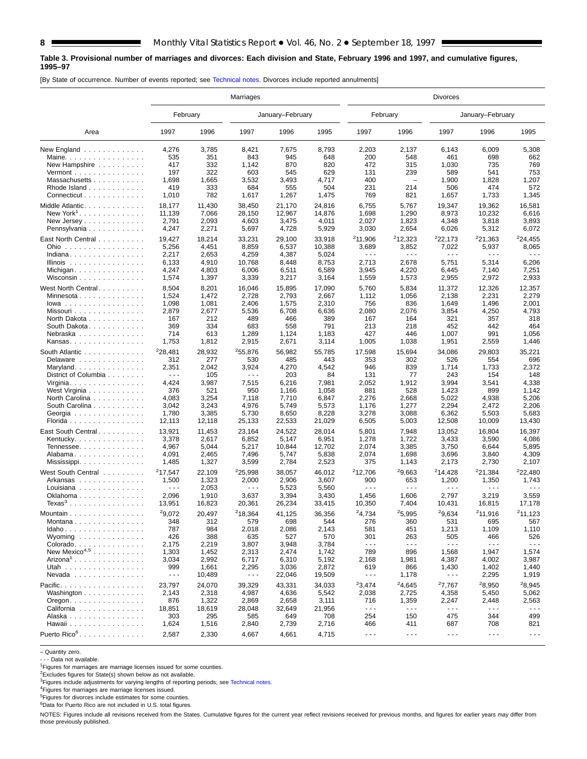#### **Table 3. Provisional number of marriages and divorces: Each division and State, February 1996 and 1997, and cumulative figures, 1995–97**

[By State of occurrence. Number of events reported; see [Technical notes. D](#page-16-0)ivorces include reported annulments]

|                                                          |                               |                | Marriages                     |                  |                  |                             |                      | <b>Divorces</b>      |                               |                               |
|----------------------------------------------------------|-------------------------------|----------------|-------------------------------|------------------|------------------|-----------------------------|----------------------|----------------------|-------------------------------|-------------------------------|
|                                                          | February                      |                |                               | January-February |                  | February                    |                      |                      | January-February              |                               |
| Area                                                     | 1997                          | 1996           | 1997                          | 1996             | 1995             | 1997                        | 1996                 | 1997                 | 1996                          | 1995                          |
| New England                                              | 4,276                         | 3,785          | 8,421                         | 7,675            | 8,793            | 2,203                       | 2,137                | 6,143                | 6,009                         | 5,308                         |
| Maine.                                                   | 535                           | 351            | 843                           | 945              | 648              | 200                         | 548                  | 461                  | 698                           | 662                           |
| New Hampshire                                            | 417                           | 332            | 1,142                         | 870              | 820              | 472                         | 315                  | 1,030                | 735                           | 769                           |
| Vermont $\dots\dots\dots\dots\dots\dots$                 | 197                           | 322            | 603                           | 545              | 629              | 131                         | 239                  | 589                  | 541                           | 753                           |
| Massachusetts                                            | 1,698                         | 1,665          | 3,532                         | 3,493            | 4,717            | 400                         |                      | 1,900                | 1,828                         | 1,207                         |
| Rhode Island                                             | 419                           | 333            | 684                           | 555              | 504              | 231                         | 214                  | 506                  | 474                           | 572                           |
| Connecticut                                              | 1,010                         | 782            | 1,617                         | 1,267            | 1,475            | 769                         | 821                  | 1,657                | 1,733                         | 1,345                         |
| Middle Atlantic.                                         | 18,177                        | 11,430         | 38,450                        | 21,170           | 24,816           | 6,755                       | 5,767                | 19,347               | 19,362                        | 16,581                        |
| New York <sup>1</sup> .                                  | 11,139                        | 7,066          | 28,150                        | 12,967           | 14,876           | 1,698                       | 1,290                | 8,973                | 10,232                        | 6,616                         |
| New Jersey                                               | 2,791                         | 2,093          | 4,603                         | 3,475            | 4,011            | 2,027                       | 1,823                | 4,348                | 3,818                         | 3,893                         |
| Pennsylvania                                             | 4,247                         | 2,271          | 5,697                         | 4,728            | 5,929            | 3,030                       | 2,654                | 6,026                | 5,312                         | 6,072                         |
|                                                          | 19,427                        | 18,214         | 33,231                        | 29,100           |                  | 211,906                     | <sup>2</sup> 12,323  | 222,173              | 221,363                       | 224,455                       |
| East North Central<br>Ohio                               | 5,256                         | 4,451          | 8,859                         | 6,537            | 33,918<br>10,388 | 3,689                       | 3,852                | 7,022                | 5,937                         | 8,065                         |
| Indiana                                                  | 2,217                         | 2,653          | 4,259                         | 4,387            | 5,024            | $\sim$ $\sim$ $\sim$        | .                    | .                    | $\sim$ $\sim$ $\sim$          | $  -$                         |
| Illinois $\ldots \ldots \ldots \ldots$                   | 6,133                         | 4,910          | 10,768                        | 8,448            | 8,753            | 2,713                       | 2,678                | 5,751                | 5,314                         | 6,206                         |
|                                                          | 4,247                         | 4,803          | 6,006                         | 6,511            | 6,589            | 3,945                       | 4,220                | 6,445                | 7,140                         | 7,251                         |
| Michigan<br>Wisconsin $\ldots \ldots \ldots \ldots$      | 1,574                         | 1,397          | 3,339                         | 3,217            | 3,164            | 1,559                       | 1,573                | 2,955                | 2,972                         | 2,933                         |
|                                                          |                               |                |                               |                  |                  |                             |                      |                      |                               |                               |
| West North Central.                                      | 8,504                         | 8,201          | 16,046                        | 15,895           | 17,090           | 5,760                       | 5,834                | 11,372               | 12,326                        | 12,357                        |
| Minnesota                                                | 1,524                         | 1,472          | 2,728                         | 2,793            | 2,667            | 1,112                       | 1,056                | 2,138                | 2,231                         | 2,279                         |
| $lowa$                                                   | 1,098                         | 1,081          | 2,406                         | 1,575            | 2,310            | 756                         | 836                  | 1,649                | 1,496                         | 2,001                         |
| Missouri                                                 | 2,879                         | 2,677          | 5,536                         | 6,708            | 6,636            | 2,080                       | 2,076                | 3,854                | 4,250                         | 4,793                         |
| North Dakota                                             | 167                           | 212            | 489                           | 466              | 389              | 167                         | 164                  | 321                  | 357                           | 318                           |
| South Dakota                                             | 369                           | 334            | 683                           | 558              | 791              | 213                         | 218                  | 452                  | 442                           | 464                           |
| Nebraska                                                 | 714                           | 613            | 1,289                         | 1,124            | 1,183            | 427                         | 446                  | 1,007                | 991                           | 1,056                         |
| Kansas                                                   | 1,753                         | 1,812          | 2,915                         | 2,671            | 3,114            | 1,005                       | 1,038                | 1,951                | 2,559                         | 1,446                         |
| South Atlantic                                           | <sup>2</sup> 28,481           | 28,932         | 255,876                       | 56,982           | 55,785           | 17,598                      | 15,694               | 34,086               | 29,803                        | 35,221                        |
| Delaware                                                 | 312                           | 277            | 530                           | 485              | 443              | 353                         | 302                  | 526                  | 554                           | 696                           |
| Maryland                                                 | 2,351                         | 2,042          | 3,924                         | 4,270            | 4,542            | 946                         | 839                  | 1,714                | 1,733                         | 2,372                         |
| District of Columbia                                     | $- - -$                       | 105            | $\sim$ $\sim$ $\sim$          | 203              | 84               | 131                         | 77                   | 243                  | 154                           | 148                           |
| Virginia. $\ldots$ .                                     | 4,424                         | 3,987          | 7,515                         | 6,216            | 7,981            | 2,052                       | 1,912                | 3,994                | 3,541                         | 4,338                         |
| West Virginia                                            | 376                           | 521            | 950                           | 1,166            | 1,058            | 881                         | 528                  | 1,423                | 899                           | 1,142                         |
| North Carolina                                           | 4,083                         | 3,254          | 7,118                         | 7,710            | 6,847            | 2,276                       | 2,668                | 5,022                | 4,938                         | 5,206                         |
| South Carolina                                           | 3,042                         | 3,243          | 4,976                         | 5,749            | 5,573            | 1,176                       | 1,277                | 2,294                | 2,472                         | 2,206                         |
| Georgia                                                  | 1,780                         | 3,385          | 5,730                         | 8,650            | 8,228            | 3,278                       | 3,088                | 6,362                | 5,503                         | 5,683                         |
| Florida                                                  | 12,113                        | 12,118         | 25,133                        | 22,533           | 21,029           | 6,505                       | 5,003                | 12,508               | 10,009                        | 13,430                        |
| East South Central                                       | 13,921                        | 11,453         | 23,164                        | 24,522           | 28,014           | 5,801                       | 7,948                | 13,052               | 16,804                        | 16,397                        |
| Kentucky. $\ldots$ .                                     | 3,378                         | 2,617          | 6,852                         | 5,147            | 6,951            | 1,278                       | 1,722                | 3,433                | 3,590                         | 4,086                         |
| Tennessee                                                | 4,967                         | 5,044          | 5,217                         | 10,844           | 12,702           | 2,074                       | 3,385                | 3,750                | 6,644                         | 5,895                         |
| Alabama                                                  | 4,091                         | 2,465          | 7,496                         | 5,747            | 5,838            | 2,074                       | 1,698                | 3,696                | 3,840                         | 4,309                         |
|                                                          | 1,485                         | 1,327          | 3,599                         | 2,784            | 2,523            | 375                         | 1,143                | 2,173                | 2,730                         | 2,107                         |
|                                                          |                               |                |                               |                  |                  |                             |                      |                      |                               |                               |
| West South Central                                       | 217,547                       | 22,109         | <sup>2</sup> 25,998           | 38,057           | 46,012           | 212,706                     | 29,663               | 214,428              | 221,384                       | <sup>2</sup> 22,480           |
| Arkansas                                                 | 1,500<br>$\sim$ $\sim$ $\sim$ | 1,323          | 2,000<br>$\sim$ $\sim$ $\sim$ | 2,906            | 3,607            | 900<br>$\sim$ $\sim$ $\sim$ | 653<br>.             | 1,200<br>.           | 1,350<br>$\sim$ $\sim$ $\sim$ | 1,743<br>$\sim$ $\sim$ $\sim$ |
| Louisiana                                                | 2,096                         | 2,053<br>1,910 | 3,637                         | 5,523<br>3,394   | 5,560<br>3,430   |                             |                      | 2,797                | 3,219                         | 3,559                         |
| Oklahoma<br>Texas $3 \ldots \ldots \ldots \ldots \ldots$ | 13,951                        | 16,823         | 20,361                        | 26,234           | 33,415           | 1,456<br>10,350             | 1,606<br>7,404       | 10,431               | 16,815                        | 17,178                        |
|                                                          |                               |                |                               |                  |                  |                             |                      |                      |                               |                               |
| Mountain                                                 | 29,072                        | 20,497         | <sup>2</sup> 18,364           | 41,125           | 36,356           | 24,734                      | 25.995               | 29.634               | 211,916                       | 211,123                       |
| Montana                                                  | 348                           | 312            | 579                           | 698              | 544              | 276                         | 360                  | 531                  | 695                           | 567                           |
| $Idaho \ldots  \ldots $                                  | 787                           | 984            | 2,018                         | 2,086            | 2,143            | 581                         | 451                  | 1,213                | 1,109                         | 1,110                         |
| Wyoming $\ldots \ldots \ldots \ldots$                    | 426                           | 388            | 635                           | 527              | 570              | 301                         | 263                  | 505                  | 466                           | 526                           |
| Colorado.                                                | 2,175                         | 2,219          | 3,807                         | 3,948            | 3,784            | $\sim$ $\sim$ $\sim$        | $\sim$ $\sim$ $\sim$ | $\sim$ $\sim$ $\sim$ | $\sim$ $\sim$ $\sim$          | $\sim$ $\sim$ $\sim$          |
| New Mexico <sup>4,5</sup>                                | 1,303                         | 1,452          | 2,313                         | 2,474            | 1,742            | 789                         | 896                  | 1,568                | 1,947                         | 1,574                         |
| $Arizona1$                                               | 3,034                         | 2,992          | 6,717                         | 6,310            | 5,192            | 2,168                       | 1,981                | 4,387                | 4,002                         | 3,987                         |
| Utah                                                     | 999                           | 1,661          | 2,295                         | 3,036            | 2,872            | 619                         | 866                  | 1,430                | 1,402                         | 1,440                         |
| Nevada                                                   | $\sim$ $\sim$ $\sim$          | 10,489         | $\sim$ $\sim$ $\sim$          | 22,046           | 19,509           | $\sim$ $\sim$ $\sim$        | 1,178                | - - -                | 2,295                         | 1,919                         |
| Pacific.                                                 | 23,797                        | 24,070         | 39,329                        | 43,331           | 34,033           | ${}^{2}3,474$               | 24,645               | 27,767               | 28,950                        | <sup>2</sup> 8,945            |
| Washington                                               | 2,143                         | 2,318          | 4,987                         | 4,636            | 5,542            | 2,038                       | 2,725                | 4,358                | 5,450                         | 5,062                         |
| $O$ regon. $\ldots$ . $\ldots$ . $\ldots$ .              | 876                           | 1,322          | 2,869                         | 2,658            | 3,111            | 716                         | 1,359                | 2,247                | 2,448                         | 2,563                         |
| California                                               | 18,851                        | 18,619         | 28,048                        | 32,649           | 21,956           | $\sim$ $\sim$ $\sim$        | $- - -$              | $\sim$ $\sim$ $\sim$ | $\sim$ $\sim$ $\sim$          | $\sim$ $\sim$ $\sim$          |
| Alaska                                                   | 303                           | 295            | 585                           | 649              | 708              | 254                         | 150                  | 475                  | 344                           | 499                           |
| Hawaii                                                   | 1,624                         | 1,516          | 2,840                         | 2,739            | 2,716            | 466                         | 411                  | 687                  | 708                           | 821                           |
| Puerto Rico <sup>6</sup> .                               | 2,587                         | 2,330          | 4,667                         | 4,661            | 4,715            | $\sim$ $\sim$ $\sim$        | $\sim$ $\sim$ $\sim$ | $\sim$ $\sim$ $\sim$ | $\sim$ $\sim$ $\sim$          | $\sim$ $\sim$ $\sim$          |
|                                                          |                               |                |                               |                  |                  |                             |                      |                      |                               |                               |

– Quantity zero.

- - - Data not available.

<sup>1</sup>Figures for marriages are marriage licenses issued for some counties.

2Excludes figures for State(s) shown below as not available.

<sup>3</sup>Figures include adjustments for varying lengths of reporting periods; see [Technical notes.](#page-16-0)

4Figures for marriages are marriage licenses issued.

5Figures for divorces include estimates for some counties.

<sup>6</sup>Data for Puerto Rico are not included in U.S. total figures.

NOTES: Figures include all revisions received from the States. Cumulative figures for the current year reflect revisions received for previous months, and figures for earlier years may differ from those previously published.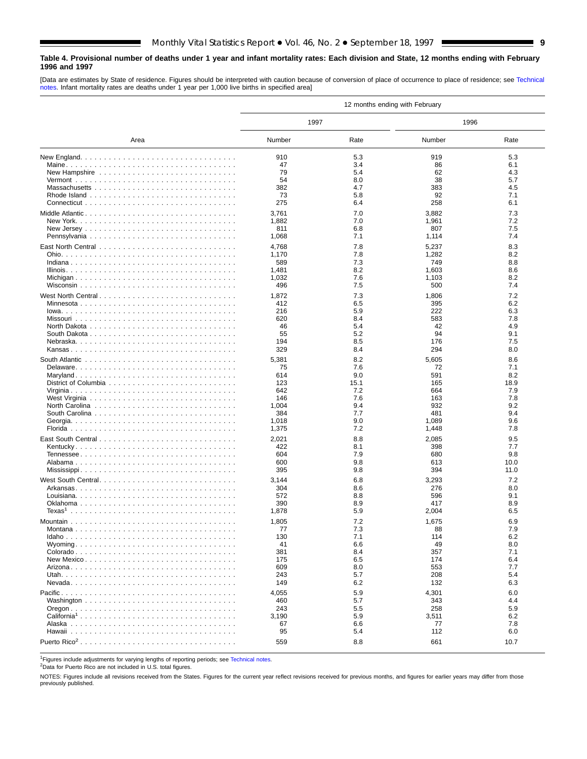#### <span id="page-8-0"></span>**Table 4. Provisional number of deaths under 1 year and infant mortality rates: Each division and State, 12 months ending with February 1996 and 1997**

[Data are estimates by State of residence. Figures should be interpreted with caution because of conversion of place of occurrence to place of residence; see [Technical](#page-16-0) [notes. In](#page-16-0)fant mortality rates are deaths under 1 year per 1,000 live births in specified area]

|                         |            |            | 12 months ending with February |            |
|-------------------------|------------|------------|--------------------------------|------------|
|                         | 1997       |            | 1996                           |            |
| Area                    | Number     | Rate       | Number                         | Rate       |
|                         | 910        | 5.3        | 919                            | 5.3        |
|                         | 47         | 3.4        | 86                             | 6.1        |
|                         | 79         | 5.4        | 62                             | 4.3        |
|                         | 54         | 8.0        | 38                             | 5.7        |
|                         | 382        | 4.7        | 383                            | 4.5        |
|                         | 73         | 5.8        | 92                             | 7.1        |
|                         | 275        | 6.4        | 258                            | 6.1        |
|                         | 3,761      | 7.0        | 3,882                          | 7.3        |
|                         | 1,882      | 7.0        | 1,961                          | 7.2        |
|                         | 811        | 6.8        | 807                            | 7.5        |
|                         | 1,068      | 7.1        | 1,114                          | 7.4        |
|                         | 4,768      | 7.8        | 5,237                          | 8.3        |
|                         | 1,170      | 7.8        | 1,282                          | 8.2        |
|                         | 589        | 7.3        | 749                            | 8.8        |
|                         | 1,481      | 8.2        | 1,603                          | 8.6        |
|                         | 1,032      | 7.6        | 1,103                          | 8.2        |
|                         | 496        | 7.5        | 500                            | 7.4        |
| West North Central      | 1,872      | 7.3        | 1,806                          | 7.2        |
|                         | 412        | 6.5        | 395                            | 6.2        |
|                         | 216        | 5.9        | 222                            | 6.3        |
|                         | 620        | 8.4        | 583                            | 7.8        |
|                         | 46         | 5.4        | 42                             | 4.9        |
|                         | 55         | 5.2        | 94                             | 9.1        |
|                         | 194        | 8.5        | 176                            | 7.5        |
|                         | 329        | 8.4        | 294                            | 8.0        |
|                         |            |            |                                |            |
|                         | 5,381      | 8.2        | 5,605                          | 8.6        |
|                         | 75<br>614  | 7.6<br>9.0 | 72<br>591                      | 7.1<br>8.2 |
|                         | 123        | 15.1       | 165                            | 18.9       |
|                         | 642        | 7.2        | 664                            | 7.9        |
|                         | 146        | 7.6        | 163                            | 7.8        |
|                         | 1,004      | 9.4        | 932                            | 9.2        |
|                         | 384        | 7.7        | 481                            | 9.4        |
|                         | 1,018      | 9.0        | 1,089                          | 9.6        |
|                         | 1,375      | 7.2        | 1,448                          | 7.8        |
|                         | 2,021      | 8.8        | 2,085                          | 9.5        |
|                         | 422        | 8.1        | 398                            | 7.7        |
|                         | 604        | 7.9        | 680                            | 9.8        |
|                         | 600        | 9.8        | 613                            | 10.0       |
|                         | 395        | 9.8        | 394                            | 11.0       |
|                         |            |            |                                |            |
|                         | 3,144      | 6.8        | 3,293                          | 7.2<br>8.0 |
|                         | 304<br>572 | 8.6<br>8.8 | 276                            | 9.1        |
|                         | 390        | 8.9        | 596<br>417                     | 8.9        |
|                         | 1,878      | 5.9        | 2,004                          | 6.5        |
|                         |            |            |                                |            |
|                         | 1,805      | 7.2        | 1,675                          | 6.9        |
| Montana                 | 77         | 7.3        | 88                             | 7.9        |
|                         | 130        | 7.1        | 114                            | 6.2        |
|                         | 41         | 6.6        | 49                             | 8.0<br>7.1 |
|                         | 381        | 8.4        | 357                            |            |
|                         | 175<br>609 | 6.5<br>8.0 | 174                            | 6.4<br>7.7 |
|                         | 243        | 5.7        | 553<br>208                     | 5.4        |
|                         | 149        | 6.2        | 132                            | 6.3        |
|                         |            |            |                                |            |
|                         | 4,055      | 5.9        | 4,301                          | 6.0        |
|                         | 460        | 5.7        | 343                            | 4.4        |
|                         | 243        | 5.5        | 258                            | 5.9        |
| California <sup>1</sup> | 3,190      | 5.9        | 3,511                          | 6.2        |
|                         | 67         | 6.6        | 77                             | 7.8        |
|                         | 95         | 5.4        | 112                            | 6.0        |
|                         | 559        | 8.8        | 661                            | 10.7       |

<sup>1</sup>Figures include adjustments for varying lengths of reporting periods; see [Technical notes.](#page-16-0)

2Data for Puerto Rico are not included in U.S. total figures.

NOTES: Figures include all revisions received from the States. Figures for the current year reflect revisions received for previous months, and figures for earlier years may differ from those previously published.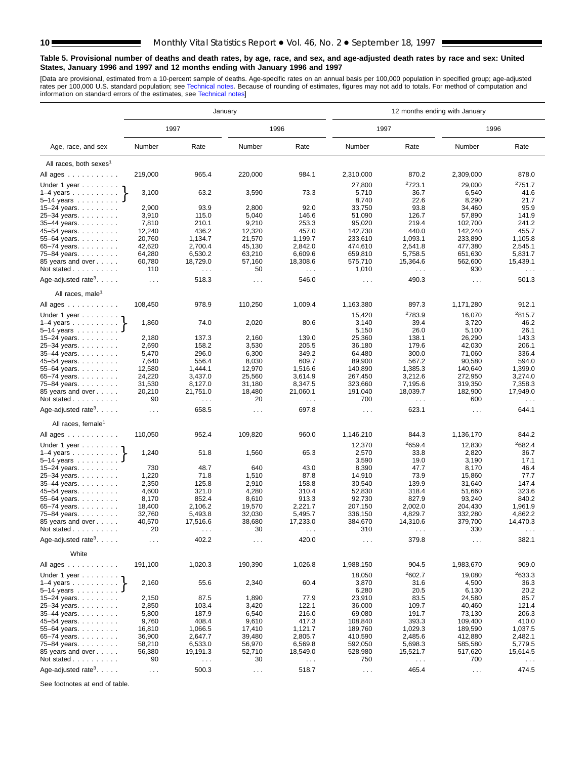#### <span id="page-9-0"></span>**Table 5. Provisional number of deaths and death rates, by age, race, and sex, and age-adjusted death rates by race and sex: United States, January 1996 and 1997 and 12 months ending with January 1996 and 1997**

[Data are provisional, estimated from a 10-percent sample of deaths. Age-specific rates on an annual basis per 100,000 population in specified group; age-adjusted<br>rates per 100,000 U.S. standard population; see Technical n

|                                             |                      |                                  | January                       |                      |                      |                       | 12 months ending with January |                      |
|---------------------------------------------|----------------------|----------------------------------|-------------------------------|----------------------|----------------------|-----------------------|-------------------------------|----------------------|
|                                             |                      | 1997                             |                               | 1996                 | 1997                 |                       | 1996                          |                      |
| Age, race, and sex                          | Number               | Rate                             | Number                        | Rate                 | Number               | Rate                  | Number                        | Rate                 |
| All races, both sexes <sup>1</sup>          |                      |                                  |                               |                      |                      |                       |                               |                      |
| All ages                                    | 219,000              | 965.4                            | 220,000                       | 984.1                | 2,310,000            | 870.2                 | 2,309,000                     | 878.0                |
| Under 1 year $\ldots \ldots$                |                      |                                  |                               |                      | 27,800               | 2723.1                | 29,000                        | 2751.7               |
| $1-4$ years                                 | 3,100                | 63.2                             | 3,590                         | 73.3                 | 5,710                | 36.7                  | 6,540                         | 41.6                 |
| $5 - 14$ years                              |                      |                                  |                               |                      | 8,740                | 22.6                  | 8,290                         | 21.7                 |
| 15–24 years. $\ldots$                       | 2,900                | 93.9                             | 2,800                         | 92.0                 | 33,750               | 93.8                  | 34,460                        | 95.9                 |
| 25-34 years.                                | 3,910                | 115.0                            | 5,040                         | 146.6                | 51,090               | 126.7                 | 57,890                        | 141.9                |
| $35-44$ years.                              | 7,810                | 210.1                            | 9,210                         | 253.3                | 95,020               | 219.4                 | 102,700                       | 241.2                |
| 45-54 years.                                | 12,240               | 436.2                            | 12,320                        | 457.0                | 142,730              | 440.0                 | 142,240                       | 455.7                |
| 55–64 years. $\ldots$                       | 20,760               | 1,134.7                          | 21,570                        | 1,199.7              | 233,610              | 1,093.1<br>2,541.8    | 233,890                       | 1,105.8              |
| 65–74 years. $\ldots$<br>75-84 years.       | 42,620<br>64,280     | 2,700.4<br>6,530.2               | 45,130<br>63,210              | 2,842.0<br>6,609.6   | 474,610<br>659,810   | 5,758.5               | 477,380<br>651,630            | 2,545.1<br>5,831.7   |
| 85 years and over                           | 60,780               | 18,729.0                         | 57,160                        | 18,308.6             | 575,710              | 15,364.6              | 562,600                       | 15,439.1             |
| Not stated                                  | 110                  | $\sim$                           | 50                            | $\sim$ $\sim$ $\sim$ | 1,010                | $\sim$ $\sim$ $\sim$  | 930                           | $\sim$ $\sim$ $\sim$ |
| Age-adjusted rate <sup>3</sup> . $\ldots$ . | $\sim$ $\sim$ $\sim$ | 518.3                            | $\sim$ $\sim$ $\sim$          | 546.0                | $\sim$ $\sim$ $\sim$ | 490.3                 | $\sim$ $\sim$ $\sim$          | 501.3                |
| All races, male <sup>1</sup>                |                      |                                  |                               |                      |                      |                       |                               |                      |
| All ages                                    | 108,450              | 978.9                            | 110,250                       | 1,009.4              | 1,163,380            | 897.3                 | 1,171,280                     | 912.1                |
|                                             |                      |                                  |                               |                      |                      | <sup>2</sup> 783.9    |                               | <sup>2</sup> 815.7   |
| Under 1 year                                | 1,860                | 74.0                             | 2,020                         | 80.6                 | 15,420<br>3,140      | 39.4                  | 16,070<br>3,720               | 46.2                 |
| $1-4$ years<br>$5 - 14$ years               |                      |                                  |                               |                      | 5,150                | 26.0                  | 5,100                         | 26.1                 |
| 15–24 years. $\ldots$                       | 2,180                | 137.3                            | 2,160                         | 139.0                | 25,360               | 138.1                 | 26,290                        | 143.3                |
| 25-34 years.                                | 2,690                | 158.2                            | 3,530                         | 205.5                | 36,180               | 179.6                 | 42,030                        | 206.1                |
| $35-44$ years.                              | 5,470                | 296.0                            | 6,300                         | 349.2                | 64,480               | 300.0                 | 71,060                        | 336.4                |
| 45–54 years.                                | 7,640                | 556.4                            | 8,030                         | 609.7                | 89,900               | 567.2                 | 90,580                        | 594.0                |
| 55-64 years.                                | 12,580               | 1,444.1                          | 12,970                        | 1,516.6              | 140,890              | 1,385.3               | 140,640                       | 1,399.0              |
| 65–74 years. $\ldots$                       | 24,220               | 3,437.0                          | 25,560                        | 3,614.9              | 267,450              | 3,212.6               | 272,950                       | 3,274.0              |
| 75-84 years.                                | 31,530               | 8,127.0                          | 31,180                        | 8,347.5              | 323,660              | 7,195.6               | 319,350                       | 7,358.3              |
| 85 years and over<br>Not stated             | 20,210<br>90         | 21,751.0<br>$\sim$ $\sim$ $\sim$ | 18,480<br>20                  | 21,060.1<br>.        | 191,040<br>700       | 18,039.7<br>$\cdots$  | 182,900<br>600                | 17,949.0<br>$\cdots$ |
| Age-adjusted rate <sup>3</sup> . $\ldots$ . | $\sim$ $\sim$ $\sim$ | 658.5                            | $\sim$ $\sim$ $\sim$          | 697.8                | $\sim$ $\sim$ $\sim$ | 623.1                 | $\sim$ $\sim$ $\sim$          | 644.1                |
| All races, female <sup>1</sup>              |                      |                                  |                               |                      |                      |                       |                               |                      |
| All ages                                    | 110,050              | 952.4                            | 109,820                       | 960.0                | 1,146,210            | 844.3                 | 1,136,170                     | 844.2                |
| Under 1 year $\ldots \ldots$                |                      |                                  |                               |                      | 12,370               | 2659.4                | 12,830                        | 2682.4               |
| $1-4$ years                                 | 1,240                | 51.8                             | 1,560                         | 65.3                 | 2,570                | 33.8                  | 2,820                         | 36.7                 |
| $5 - 14$ years $\ldots \ldots$              |                      |                                  |                               |                      | 3,590                | 19.0                  | 3,190                         | 17.1                 |
| 15–24 years. $\ldots$                       | 730                  | 48.7                             | 640                           | 43.0                 | 8,390                | 47.7                  | 8,170                         | 46.4                 |
| 25-34 years.                                | 1,220                | 71.8                             | 1,510                         | 87.8                 | 14,910               | 73.9                  | 15,860                        | 77.7                 |
| 35-44 years.                                | 2,350                | 125.8                            | 2,910                         | 158.8                | 30,540               | 139.9                 | 31,640                        | 147.4                |
| 45–54 years. $\ldots$                       | 4,600<br>8,170       | 321.0<br>852.4                   | 4,280                         | 310.4<br>913.3       | 52,830               | 318.4<br>827.9        | 51,660<br>93,240              | 323.6<br>840.2       |
| 55–64 years. $\ldots$<br>65-74 years.       | 18,400               | 2,106.2                          | 8,610<br>19,570               | 2.221.7              | 92,730<br>207.150    | 2,002.0               | 204,430                       | 1,961.9              |
| 75-84 years.                                | 32,760               | 5,493.8                          | 32,030                        | 5,495.7              | 336,150              | 4,829.7               | 332,280                       | 4,862.2              |
| 85 years and over                           | 40,570               | 17,516.6                         | 38,680                        | 17,233.0             | 384,670              | 14,310.6              | 379,700                       | 14,470.3             |
| Not stated                                  | 20                   | $\cdots$                         | 30                            | $\cdots$             | 310                  | $\sim$ $\sim$ $\sim$  | 330                           | $\cdots$             |
| Age-adjusted rate <sup>3</sup> . $\ldots$ . | $\cdots$             | 402.2                            | $\sim$ $\sim$ $\sim$          | 420.0                | $\sim$ $\sim$        | 379.8                 | $\sim$ $\sim$ $\sim$          | 382.1                |
| White                                       |                      |                                  |                               |                      |                      |                       |                               |                      |
| All ages                                    | 191,100              | 1,020.3                          | 190,390                       | 1,026.8              | 1,988,150            | 904.5                 | 1,983,670                     | 909.0                |
| Under 1 year $\ldots \ldots$                |                      |                                  |                               |                      | 18,050               | 2602.7                | 19,080                        | 2633.3               |
| $5 - 14$ years                              | 2,160                | 55.6                             | 2,340                         | 60.4                 | 3,870<br>6,280       | 31.6<br>20.5          | 4,500<br>6,130                | 36.3<br>20.2         |
| 15–24 years. $\ldots$                       | 2,150                | 87.5                             | 1,890                         | 77.9                 | 23,910               | 83.5                  | 24,580                        | 85.7                 |
| 25-34 years.                                | 2,850                | 103.4                            | 3,420                         | 122.1                | 36,000               | 109.7                 | 40,460                        | 121.4                |
| 35-44 years.                                | 5,800                | 187.9                            | 6,540                         | 216.0                | 69,080               | 191.7                 | 73,130                        | 206.3                |
| 45-54 years.                                | 9,760                | 408.4                            | 9,610                         | 417.3                | 108,840              | 393.3                 | 109,400                       | 410.0                |
| 55-64 years.                                | 16,810               | 1,066.5                          | 17,410                        | 1,121.7              | 189,760              | 1,029.3               | 189,590                       | 1,037.5              |
| 65–74 years. $\ldots$                       | 36,900               | 2,647.7                          | 39,480                        | 2,805.7              | 410,590              | 2,485.6               | 412,880                       | 2,482.1              |
| 75-84 years.<br>85 years and over           | 58,210               | 6,533.0<br>19,191.3              | 56,970<br>52,710              | 6,569.8<br>18,549.0  | 592,050              | 5,698.3               | 585,580<br>517,620            | 5,779.5<br>15,614.5  |
| Not stated                                  | 56,380<br>90         | $\sim$ $\sim$                    | 30                            | $\sim$ $\sim$        | 528,980<br>750       | 15,521.7<br>$\ddotsc$ | 700                           | $\sim$ $\sim$ $\sim$ |
| Age-adjusted rate <sup>3</sup> . $\ldots$ . |                      |                                  |                               |                      |                      |                       |                               |                      |
|                                             | $\sim 100$           | 500.3                            | $\epsilon \rightarrow \infty$ | 518.7                | $\sim$ $\sim$ $\sim$ | 465.4                 | $\sim$ $\sim$ $\sim$          | 474.5                |

See footnotes at end of table.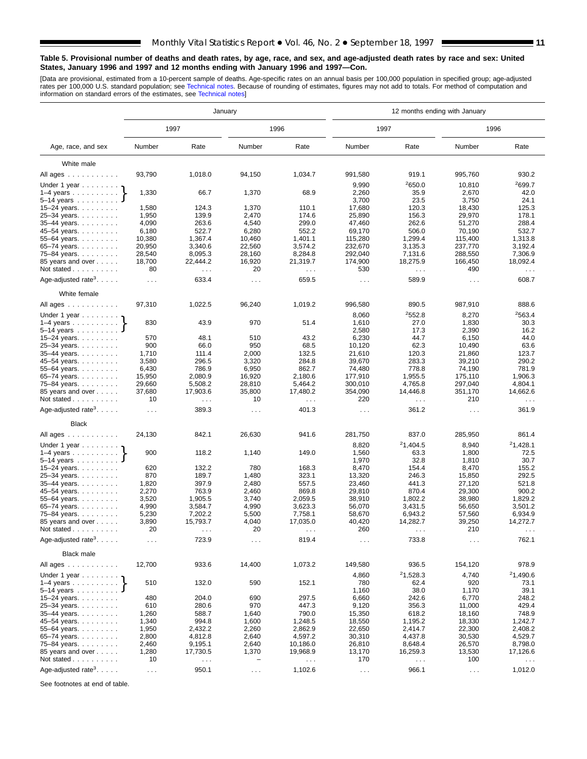#### **Table 5. Provisional number of deaths and death rates, by age, race, and sex, and age-adjusted death rates by race and sex: United States, January 1996 and 1997 and 12 months ending with January 1996 and 1997—Con.**

[Data are provisional, estimated from a 10-percent sample of deaths. Age-specific rates on an annual basis per 100,000 population in specified group; age-adjusted<br>rates per 100,000 U.S. standard population; see Technical n

|                                             |                      |                      | January              |                      |                      | 12 months ending with January |                      |                      |
|---------------------------------------------|----------------------|----------------------|----------------------|----------------------|----------------------|-------------------------------|----------------------|----------------------|
|                                             |                      | 1997                 |                      | 1996                 |                      | 1997                          | 1996                 |                      |
| Age, race, and sex                          | Number               | Rate                 | Number               | Rate                 | Number               | Rate                          | Number               | Rate                 |
| White male                                  |                      |                      |                      |                      |                      |                               |                      |                      |
| All ages                                    | 93,790               | 1,018.0              | 94,150               | 1,034.7              | 991,580              | 919.1                         | 995,760              | 930.2                |
| Under 1 year                                |                      |                      |                      |                      | 9,990                | 2650.0                        | 10,810               | 2699.7               |
| $1-4$ years                                 | 1,330                | 66.7                 | 1,370                | 68.9                 | 2,260                | 35.9                          | 2,670                | 42.0                 |
| $5-14$ years $\ldots$                       |                      |                      |                      |                      | 3,700                | 23.5                          | 3,750                | 24.1                 |
| 15–24 years. $\ldots$                       | 1,580                | 124.3                | 1,370                | 110.1                | 17,680               | 120.3                         | 18,430               | 125.3                |
| 25-34 years.                                | 1,950                | 139.9                | 2,470                | 174.6                | 25,890               | 156.3                         | 29,970               | 178.1                |
| $35-44$ years.                              | 4,090                | 263.6                | 4,540                | 299.0                | 47,460               | 262.6                         | 51,270               | 288.4                |
| 45-54 years.                                | 6,180                | 522.7                | 6,280                | 552.2                | 69,170               | 506.0                         | 70,190               | 532.7                |
| 55-64 years.                                | 10,380               | 1.367.4              | 10,460               | 1,401.1              | 115,280              | 1,299.4                       | 115,400              | 1,313.8              |
| 65–74 years. $\ldots$                       | 20,950               | 3,340.6              | 22,560               | 3,574.2              | 232,670              | 3,135.3                       | 237,770              | 3,192.4              |
| 75-84 years.<br>85 years and over           | 28,540<br>18,700     | 8,095.3<br>22,444.2  | 28,160<br>16,920     | 8,284.8<br>21,319.7  | 292,040<br>174,900   | 7,131.6<br>18,275.9           | 288,550<br>166,450   | 7,306.9<br>18,092.4  |
| Not stated                                  | 80                   | $\sim$ $\sim$ $\sim$ | 20                   | $\sim$ $\sim$        | 530                  |                               | 490                  | $\sim$ $\sim$ $\sim$ |
| Age-adjusted rate <sup>3</sup> . $\ldots$ . | $\cdots$             | 633.4                | $\sim$ $\sim$        | 659.5                | $\sim$ $\sim$ $\sim$ | $\sim$ $\sim$ $\sim$<br>589.9 | $\sim$ $\sim$ $\sim$ | 608.7                |
| White female                                |                      |                      |                      |                      |                      |                               |                      |                      |
|                                             |                      |                      |                      |                      |                      |                               |                      |                      |
| All ages<br>Under 1 year                    | 97,310               | 1,022.5              | 96,240               | 1,019.2              | 996,580<br>8,060     | 890.5<br>2552.8               | 987,910<br>8,270     | 888.6<br>2563.4      |
| $1-4$ years                                 | 830                  | 43.9                 | 970                  | 51.4                 | 1,610                | 27.0                          | 1,830                | 30.3                 |
| $5 - 14$ years                              |                      |                      |                      |                      | 2,580                | 17.3                          | 2,390                | 16.2                 |
| 15–24 years. $\ldots$                       | 570                  | 48.1                 | 510                  | 43.2                 | 6,230                | 44.7                          | 6,150                | 44.0                 |
| 25-34 years.                                | 900                  | 66.0                 | 950                  | 68.5                 | 10,120               | 62.3                          | 10,490               | 63.6                 |
| 35-44 years.                                | 1,710                | 111.4                | 2,000                | 132.5                | 21,610               | 120.3                         | 21,860               | 123.7                |
| 45-54 years.                                | 3,580                | 296.5                | 3,320                | 284.8                | 39,670               | 283.3                         | 39,210               | 290.2                |
| 55-64 years.                                | 6,430<br>15,950      | 786.9<br>2,080.9     | 6,950<br>16,920      | 862.7<br>2,180.6     | 74,480               | 778.8<br>1,955.5              | 74,190<br>175,110    | 781.9<br>1,906.3     |
| 65-74 years.<br>75–84 years.                | 29,660               | 5,508.2              | 28,810               | 5,464.2              | 177,910<br>300,010   | 4,765.8                       | 297,040              | 4,804.1              |
| 85 years and over                           | 37,680               | 17,903.6             | 35,800               | 17,480.2             | 354,090              | 14,446.8                      | 351,170              | 14,662.6             |
| Not stated                                  | 10                   | $\cdots$             | 10                   | $\sim$ .             | 220                  | $\sim$ $\sim$ $\sim$          | 210                  | $\sim$ $\sim$ $\sim$ |
| Age-adjusted rate <sup>3</sup> .            | $\sim$ $\sim$ $\sim$ | 389.3                | $\sim$ $\sim$        | 401.3                | $\sim$ $\sim$ $\sim$ | 361.2                         | $\sim$ $\sim$ $\sim$ | 361.9                |
| <b>Black</b>                                |                      |                      |                      |                      |                      |                               |                      |                      |
| All ages                                    | 24,130               | 842.1                | 26,630               | 941.6                | 281,750              | 837.0                         | 285,950              | 861.4                |
| Under 1 year $\ldots \ldots$                |                      |                      |                      |                      | 8,820                | 21,404.5                      | 8,940                | <sup>2</sup> 1,428.1 |
| $1-4$ years                                 | 900                  | 118.2                | 1,140                | 149.0                | 1,560                | 63.3                          | 1,800                | 72.5                 |
| $5-14$ years                                |                      |                      |                      |                      | 1,970                | 32.8                          | 1,810                | 30.7                 |
| 15–24 years. $\ldots$                       | 620                  | 132.2                | 780                  | 168.3                | 8,470                | 154.4                         | 8,470                | 155.2                |
| 25-34 years.                                | 870<br>1,820         | 189.7<br>397.9       | 1,480<br>2,480       | 323.1<br>557.5       | 13,320<br>23,460     | 246.3<br>441.3                | 15,850<br>27,120     | 292.5<br>521.8       |
| 35-44 years.<br>45-54 years.                | 2,270                | 763.9                | 2,460                | 869.8                | 29,810               | 870.4                         | 29,300               | 900.2                |
| 55–64 years. $\ldots$                       | 3,520                | 1,905.5              | 3,740                | 2,059.5              | 38,910               | 1,802.2                       | 38,980               | 1,829.2              |
| 65-74 years.                                | 4,990                | 3,584.7              | 4,990                | 3,623.3              | 56,070               | 3,431.5                       | 56,650               | 3,501.2              |
| 75-84 years.                                | 5,230                | 7,202.2              | 5,500                | 7,758.1              | 58,670               | 6,943.2                       | 57,560               | 6,934.9              |
| 85 years and over                           | 3,890                | 15,793.7             | 4,040                | 17,035.0             | 40,420               | 14,282.7                      | 39,250               | 14,272.7             |
| Not stated $\ldots$ , $\ldots$ , $\ldots$   | 20                   | $\sim$ $\sim$ $\sim$ | 20                   | $\sim$ $\sim$ $\sim$ | 260                  | $\sim$ $\sim$ $\sim$          | 210                  | $\sim$ $\sim$ $\sim$ |
| Age-adjusted rate <sup>3</sup> .            |                      | 723.9                | $\sim$ $\sim$        | 819.4                | $\sim$ $\sim$        | 733.8                         | $\sim$ $\sim$        | 762.1                |
| <b>Black male</b>                           |                      |                      |                      |                      |                      |                               |                      |                      |
| All ages                                    | 12,700               | 933.6                | 14,400               | 1,073.2              | 149,580              | 936.5                         | 154,120              | 978.9                |
| Under 1 year $\ldots \ldots$                |                      |                      |                      |                      | 4,860                | <sup>2</sup> 1,528.3          | 4,740                | <sup>2</sup> 1,490.6 |
| $1-4$ years                                 | 510                  | 132.0                | 590                  | 152.1                | 780                  | 62.4                          | 920                  | 73.1                 |
| $5 - 14$ years<br>15–24 years. $\ldots$     | 480                  | 204.0                | 690                  | 297.5                | 1,160<br>6,660       | 38.0<br>242.6                 | 1,170<br>6,770       | 39.1<br>248.2        |
| 25-34 years.                                | 610                  | 280.6                | 970                  | 447.3                | 9,120                | 356.3                         | 11,000               | 429.4                |
| $35-44$ years.                              | 1,260                | 588.7                | 1,640                | 790.0                | 15,350               | 618.2                         | 18,160               | 748.9                |
| 45-54 years.                                | 1,340                | 994.8                | 1,600                | 1,248.5              | 18,550               | 1,195.2                       | 18,330               | 1,242.7              |
| 55-64 years.                                | 1,950                | 2,432.2              | 2,260                | 2,862.9              | 22,650               | 2,414.7                       | 22,300               | 2,408.2              |
| 65-74 years.                                | 2,800                | 4,812.8              | 2,640                | 4,597.2              | 30,310               | 4,437.8                       | 30,530               | 4,529.7              |
| 75-84 years.                                | 2,460                | 9,195.1              | 2,640                | 10,186.0             | 26,810               | 8,648.4                       | 26,570               | 8,798.0              |
| 85 years and over                           | 1,280                | 17,730.5             | 1,370                | 19,968.9             | 13,170               | 16,259.3                      | 13,530               | 17,126.6             |
| Not stated                                  | 10                   | $\sim$               |                      | $\sim$               | 170                  | $\sim$ $\sim$                 | 100                  | $\sim$ $\sim$        |
| Age-adjusted rate <sup>3</sup> . $\ldots$ . | $\sim$ $\sim$        | 950.1                | $\sim$ $\sim$ $\sim$ | 1,102.6              | $\sim$ $\sim$ $\sim$ | 966.1                         | $\sim$ $\sim$ $\sim$ | 1,012.0              |

See footnotes at end of table.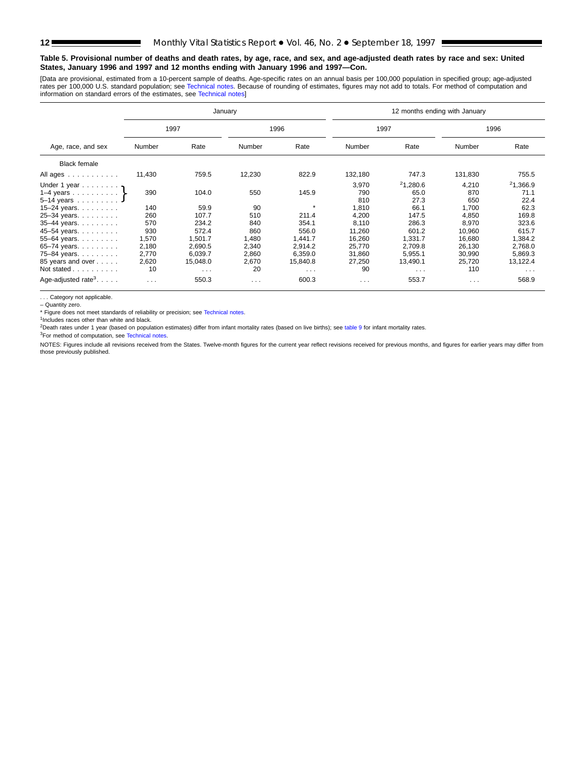#### **Table 5. Provisional number of deaths and death rates, by age, race, and sex, and age-adjusted death rates by race and sex: United States, January 1996 and 1997 and 12 months ending with January 1996 and 1997—Con.**

[Data are provisional, estimated from a 10-percent sample of deaths. Age-specific rates on an annual basis per 100,000 population in specified group; age-adjusted rates per 100,000 U.S. standard population; see [Technical notes. Beca](#page-16-0)use of rounding of estimates, figures may not add to totals. For method of computation and<br>information on standard errors of the estimates, see Technical

| Age, race, and sex<br><b>Black female</b><br>All ages |          |          | January |          | 12 months ending with January |          |                      |          |  |  |  |
|-------------------------------------------------------|----------|----------|---------|----------|-------------------------------|----------|----------------------|----------|--|--|--|
|                                                       |          | 1997     |         | 1996     | 1997                          |          |                      | 1996     |  |  |  |
|                                                       | Number   | Rate     | Number  | Rate     | Number                        | Rate     | Number               | Rate     |  |  |  |
|                                                       |          |          |         |          |                               |          |                      |          |  |  |  |
|                                                       | 11,430   | 759.5    | 12,230  | 822.9    | 132,180                       | 747.3    | 131,830              | 755.5    |  |  |  |
|                                                       |          |          |         |          | 3,970                         | 21,280.6 | 4,210                | 21,366.9 |  |  |  |
|                                                       | 390      | 104.0    | 550     | 145.9    | 790                           | 65.0     | 870                  | 71.1     |  |  |  |
| $5 - 14$ years                                        |          |          |         | $\star$  | 810                           | 27.3     | 650                  | 22.4     |  |  |  |
| 15–24 years. $\ldots$                                 | 140      | 59.9     | 90      |          | 1.810                         | 66.1     | 1.700                | 62.3     |  |  |  |
| 25-34 years.                                          | 260      | 107.7    | 510     | 211.4    | 4.200                         | 147.5    | 4.850                | 169.8    |  |  |  |
| 35-44 years.                                          | 570      | 234.2    | 840     | 354.1    | 8,110                         | 286.3    | 8,970                | 323.6    |  |  |  |
| 45-54 years.                                          | 930      | 572.4    | 860     | 556.0    | 11,260                        | 601.2    | 10,960               | 615.7    |  |  |  |
| 55-64 years.                                          | 1,570    | 1,501.7  | 1,480   | 1,441.7  | 16,260                        | 1,331.7  | 16,680               | 1,384.2  |  |  |  |
| 65-74 years.                                          | 2,180    | 2,690.5  | 2,340   | 2,914.2  | 25,770                        | 2,709.8  | 26,130               | 2,768.0  |  |  |  |
| 75–84 years. $\ldots$                                 | 2,770    | 6,039.7  | 2,860   | 6,359.0  | 31,860                        | 5,955.1  | 30,990               | 5,869.3  |  |  |  |
| 85 years and over                                     | 2,620    | 15,048.0 | 2,670   | 15,840.8 | 27,250                        | 13,490.1 | 25,720               | 13,122.4 |  |  |  |
| Not stated                                            | 10       | $\cdots$ | 20      | $\cdots$ | 90                            | $\cdots$ | 110                  | $\cdots$ |  |  |  |
| Age-adjusted rate <sup>3</sup> . $\ldots$ .           | $\cdots$ | 550.3    | $\sim$  | 600.3    | $\sim 100$ km s $^{-1}$       | 553.7    | $\sim$ $\sim$ $\sim$ | 568.9    |  |  |  |

. . . Category not applicable.

– Quantity zero.

\* Figure does not meet standards of reliability or precision; see [Technical notes.](#page-16-0)

<sup>1</sup>Includes races other than white and black.

2Death rates under 1 year (bas[ed on population esti](#page-16-0)mates) differ from infant mortality rates (based on live births); see [table 9](#page-15-0) for infant mortality rates.

3For method of computation, see Technical notes.

NOTES: Figures include all revisions received from the States. Twelve-month figures for the current year reflect revisions received for previous months, and figures for earlier years may differ from those previously published.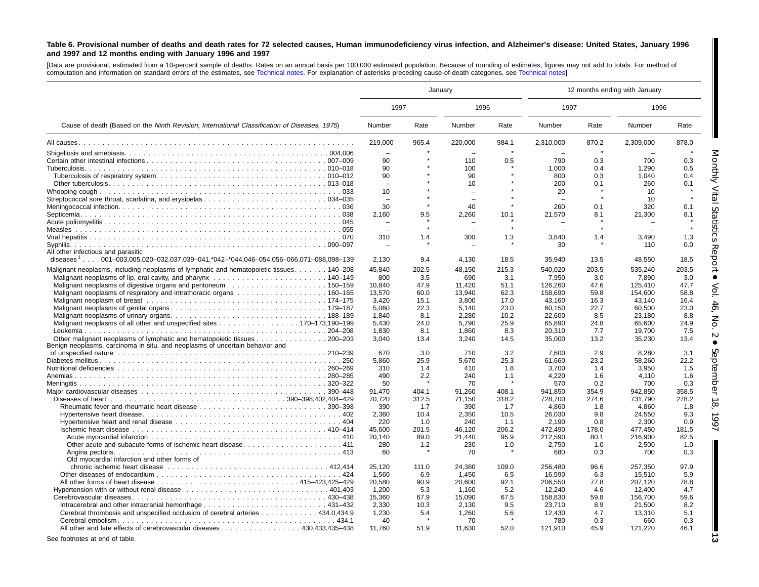#### <span id="page-12-0"></span>Table 6. Provisional number of deaths and death rates for 72 selected causes, Human immunodeficiency virus infection, and Alzheimer's disease: United States, January 1996 **and 1997 and 12 months ending with January 1996 and 1997**

[Data are provisional, estimated from <sup>a</sup> 10-percent sample of deaths. Rates on an annual basis per 100,000 estimated population. Because of rounding of [estimates,](#page-16-0) figures may not add to totals. For method of computation and information on standard errors of the estimates, see [Technical](#page-16-0) notes. For explanation of asterisks preceding cause-of-death categories, see Technical notes]

|                                                                                                                                                          |         |       | January  |       |           |       | 12 months ending with January |       |
|----------------------------------------------------------------------------------------------------------------------------------------------------------|---------|-------|----------|-------|-----------|-------|-------------------------------|-------|
|                                                                                                                                                          | 1997    |       | 1996     |       | 1997      |       | 1996                          |       |
| Cause of death (Based on the Ninth Revision, International Classification of Diseases, 1975)                                                             | Number  | Rate  | Number   | Rate  | Number    | Rate  | Number                        | Rate  |
|                                                                                                                                                          | 219.000 | 965.4 | 220.000  | 984.1 | 2.310.000 | 870.2 | 2.309.000                     | 878.0 |
|                                                                                                                                                          |         |       |          |       |           |       |                               |       |
|                                                                                                                                                          | 90      |       | 110      | 0.5   | 790       | 0.3   | 700                           | 0.3   |
|                                                                                                                                                          | 90      |       | 100      |       | 1,000     | 0.4   | 1,290                         | 0.5   |
|                                                                                                                                                          | 90      |       | 90       |       | 800       | 0.3   | 1.040                         | 0.4   |
|                                                                                                                                                          |         |       | 10       |       | 200       | 0.1   | 260                           | 0.1   |
|                                                                                                                                                          | 10      |       |          |       | 20        |       | 10                            |       |
|                                                                                                                                                          |         |       | $\equiv$ |       |           |       | 10                            |       |
|                                                                                                                                                          | 30      |       | 40       |       | 260       | 0.1   | 320                           | 0.1   |
|                                                                                                                                                          | 2,160   | 9.5   | 2,260    | 10.1  | 21,570    | 8.1   | 21,300                        | 8.1   |
|                                                                                                                                                          |         |       |          |       |           |       |                               |       |
|                                                                                                                                                          |         |       |          |       |           |       |                               |       |
|                                                                                                                                                          | 310     | 1.4   | 300      | 1.3   | 3,840     | 1.4   | 3,490                         | 1.3   |
| Syphilis.<br>All other infectious and parasitic                                                                                                          |         |       |          |       | 30        |       | 110                           | 0.0   |
| diseases <sup>1</sup> 001-003,005,020-032,037,039-041,*042-*044,046-054,056-066,071-088,098-139                                                          | 2,130   | 9.4   | 4,130    | 18.5  | 35,940    | 13.5  | 48,550                        | 18.5  |
| Malignant neoplasms, including neoplasms of lymphatic and hematopoietic tissues 140–208                                                                  | 45.840  | 202.5 | 48.150   | 215.3 | 540,020   | 203.5 | 535.240                       | 203.5 |
|                                                                                                                                                          | 800     | 3.5   | 690      | 3.1   | 7,950     | 3.0   | 7,890                         | 3.0   |
|                                                                                                                                                          | 10,840  | 47.9  | 11.420   | 51.1  | 126,260   | 47.6  | 125,410                       | 47.7  |
|                                                                                                                                                          | 13,570  | 60.0  | 13.940   | 62.3  | 158,690   | 59.8  | 154,600                       | 58.8  |
|                                                                                                                                                          | 3,420   | 15.1  | 3,800    | 17.0  | 43,160    | 16.3  | 43,140                        | 16.4  |
|                                                                                                                                                          | 5,060   | 22.3  | 5,140    | 23.0  | 60,150    | 22.7  | 60,500                        | 23.0  |
|                                                                                                                                                          | 1.840   | 8.1   | 2.280    | 10.2  | 22,600    | 8.5   | 23.180                        | 8.8   |
| Malignant neoplasms of all other and unspecified sites 170–173,190–199                                                                                   | 5,430   | 24.0  | 5,790    | 25.9  | 65,890    | 24.8  | 65,600                        | 24.9  |
|                                                                                                                                                          | 1.830   | 8.1   | 1.860    | 8.3   | 20,310    | 7.7   | 19.700                        | 7.5   |
| Other malignant neoplasms of lymphatic and hematopoietic tissues 200–203<br>Benign neoplasms, carcinoma in situ, and neoplasms of uncertain behavior and | 3.040   | 13.4  | 3.240    | 14.5  | 35,000    | 13.2  | 35,230                        | 13.4  |
| of unspecified nature et al., and a series of unspecified nature et al., and a series of unspecified nature et al.                                       | 670     | 3.0   | 710      | 3.2   | 7.600     | 2.9   | 8.280                         | 3.1   |
|                                                                                                                                                          | 5.860   | 25.9  | 5.670    | 25.3  | 61.660    | 23.2  | 58.260                        | 22.2  |
|                                                                                                                                                          | 310     | 1.4   | 410      | 1.8   | 3,700     | 1.4   | 3,950                         | 1.5   |
|                                                                                                                                                          | 490     | 2.2   | 240      | 1.1   | 4.220     | 1.6   | 4,110                         | 1.6   |
|                                                                                                                                                          | 50      |       | 70       |       | 570       | 0.2   | 700                           | 0.3   |
|                                                                                                                                                          | 91,470  | 404.1 | 91,260   | 408.1 | 941,850   | 354.9 | 942,850                       | 358.5 |
|                                                                                                                                                          | 70,720  | 312.5 | 71,150   | 318.2 | 728,700   | 274.6 | 731,790                       | 278.2 |
|                                                                                                                                                          | 390     | 1.7   | 390      | 1.7   | 4.860     | 1.8   | 4.860                         | 1.8   |
|                                                                                                                                                          | 2,360   | 10.4  | 2,350    | 10.5  | 26,030    | 9.8   | 24,550                        | 9.3   |
|                                                                                                                                                          | 220     | 1.0   | 240      | 1.1   | 2.190     | 0.8   | 2.300                         | 0.9   |
| Ischemic heart disease $\ldots$ , $\ldots$ , $\ldots$ , $\ldots$ , $\ldots$ , $\ldots$ , $\ldots$ , $\ldots$ , $\ldots$ , $\ldots$ , $\ldots$ , 410-414  | 45.600  | 201.5 | 46.120   | 206.2 | 472.490   | 178.0 | 477.450                       | 181.5 |
|                                                                                                                                                          | 20,140  | 89.0  | 21,440   | 95.9  | 212,590   | 80.1  | 216,900                       | 82.5  |
|                                                                                                                                                          | 280     | 1.2   | 230      | 1.0   | 2,750     | 1.0   | 2,500                         | 1.0   |
| Old myocardial infarction and other forms of                                                                                                             | 60      |       | 70       |       | 680       | 0.3   | 700                           | 0.3   |
|                                                                                                                                                          | 25,120  | 111.0 | 24,380   | 109.0 | 256,480   | 96.6  | 257,350                       | 97.9  |
|                                                                                                                                                          | 1,560   | 6.9   | 1.450    | 6.5   | 16,590    | 6.3   | 15,510                        | 5.9   |
|                                                                                                                                                          | 20,580  | 90.9  | 20,600   | 92.1  | 206,550   | 77.8  | 207,120                       | 78.8  |
|                                                                                                                                                          | 1,200   | 5.3   | 1.160    | 5.2   | 12,240    | 4.6   | 12,400                        | 4.7   |
|                                                                                                                                                          | 15,360  | 67.9  | 15,090   | 67.5  | 158,830   | 59.8  | 156,700                       | 59.6  |
|                                                                                                                                                          | 2.330   | 10.3  | 2.130    | 9.5   | 23.710    | 8.9   | 21,500                        | 8.2   |
| Cerebral thrombosis and unspecified occlusion of cerebral arteries 434.0,434.9                                                                           | 1,230   | 5.4   | 1,260    | 5.6   | 12,430    | 4.7   | 13,310                        | 5.1   |
|                                                                                                                                                          | 40      |       | 70       |       | 780       | 0.3   | 660                           | 0.3   |
| All other and late effects of cerebrovascular diseases 430.433.435–438                                                                                   | 11.760  | 51.9  | 11,630   | 52.0  | 121,910   | 45.9  | 121,220                       | 46.1  |
| See footnotes at end of table.                                                                                                                           |         |       |          |       |           |       |                               |       |

StatisticsReport • Vol. 46,No.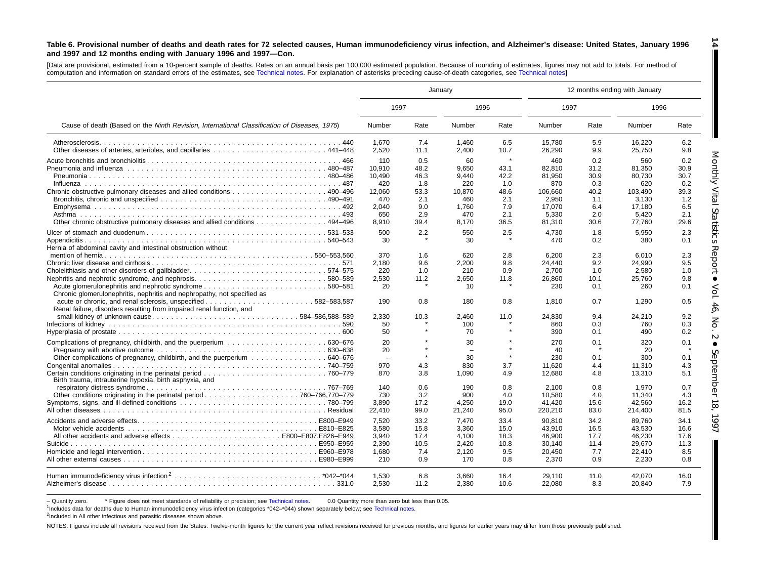#### Table 6. Provisional number of deaths and death rates for 72 selected causes, Human immunodeficiency virus infection, and Alzheimer's disease: United States, January 1996 **and 1997 and 12 months ending with January 1996 and 1997—Con.**

[Data are provisional, estimated from <sup>a</sup> 10-percent sample of deaths. Rates on an annual basis per 100,000 estimated population. Because of rounding of estimates, figures may not add to totals. For method of computation and information on standard errors of the estimates, see [Technical](#page-16-0) notes. For explanation of asterisks preceding cause-of-death categories, see [Technical](#page-16-0) notes]

|                                                                                                                                                                                             |                                                                 |                                                         | January                                                      |                                                             | 12 months ending with January                                         |                                                         |                                                                       |                                                         |  |
|---------------------------------------------------------------------------------------------------------------------------------------------------------------------------------------------|-----------------------------------------------------------------|---------------------------------------------------------|--------------------------------------------------------------|-------------------------------------------------------------|-----------------------------------------------------------------------|---------------------------------------------------------|-----------------------------------------------------------------------|---------------------------------------------------------|--|
|                                                                                                                                                                                             | 1997                                                            |                                                         | 1996                                                         |                                                             | 1997                                                                  |                                                         | 1996                                                                  |                                                         |  |
| Cause of death (Based on the Ninth Revision, International Classification of Diseases, 1975)                                                                                                | Number                                                          | Rate                                                    | Number                                                       | Rate                                                        | Number                                                                | Rate                                                    | Number                                                                | Rate                                                    |  |
|                                                                                                                                                                                             | 1,670<br>2,520                                                  | 7.4<br>11.1                                             | 1,460<br>2,400                                               | 6.5<br>10.7                                                 | 15,780<br>26,290                                                      | 5.9<br>9.9                                              | 16,220<br>25,750                                                      | 6.2<br>9.8                                              |  |
|                                                                                                                                                                                             | 110<br>10.910<br>10.490<br>420<br>12,060<br>470<br>2,040<br>650 | 0.5<br>48.2<br>46.3<br>1.8<br>53.3<br>2.1<br>9.0<br>2.9 | 60<br>9.650<br>9.440<br>220<br>10.870<br>460<br>1,760<br>470 | $\star$<br>43.1<br>42.2<br>1.0<br>48.6<br>2.1<br>7.9<br>2.1 | 460<br>82.810<br>81.950<br>870<br>106.660<br>2,950<br>17,070<br>5.330 | 0.2<br>31.2<br>30.9<br>0.3<br>40.2<br>1.1<br>6.4<br>2.0 | 560<br>81,350<br>80.730<br>620<br>103.490<br>3,130<br>17,180<br>5.420 | 0.2<br>30.9<br>30.7<br>0.2<br>39.3<br>1.2<br>6.5<br>2.1 |  |
| Other chronic obstructive pulmonary diseases and allied conditions 494–496                                                                                                                  | 8.910                                                           | 39.4                                                    | 8.170                                                        | 36.5                                                        | 81,310                                                                | 30.6                                                    | 77,760                                                                | 29.6                                                    |  |
| Hernia of abdominal cavity and intestinal obstruction without                                                                                                                               | 500<br>30                                                       | 2.2                                                     | 550<br>30                                                    | 2.5                                                         | 4,730<br>470                                                          | 1.8<br>0.2                                              | 5,950<br>380                                                          | 2.3<br>0.1                                              |  |
| Nephritis and nephrotic syndrome, and nephrosis580–589<br>Acute glomerulonephritis and nephrotic syndrome580–581<br>Chronic glomerulonephritis, nephritis and nephropathy, not specified as | 370<br>2,180<br>220<br>2.530<br>20                              | 1.6<br>9.6<br>1.0<br>11.2                               | 620<br>2,200<br>210<br>2.650<br>10 <sup>1</sup>              | 2.8<br>9.8<br>0.9<br>11.8                                   | 6.200<br>24,440<br>2,700<br>26.860<br>230                             | 2.3<br>9.2<br>1.0<br>10.1<br>0.1                        | 6.010<br>24,990<br>2,580<br>25.760<br>260                             | 2.3<br>9.5<br>1.0<br>9.8<br>0.1                         |  |
| Renal failure, disorders resulting from impaired renal function, and                                                                                                                        | 190                                                             | 0.8                                                     | 180                                                          | 0.8                                                         | 1,810                                                                 | 0.7                                                     | 1,290                                                                 | 0.5                                                     |  |
| small kidney of unknown cause584-586,588-589                                                                                                                                                | 2.330<br>50<br>50                                               | 10.3                                                    | 2.460<br>100<br>70                                           | 11.0                                                        | 24.830<br>860<br>390                                                  | 9.4<br>0.3<br>0.1                                       | 24.210<br>760<br>490                                                  | 9.2<br>0.3<br>0.2                                       |  |
| Other complications of pregnancy, childbirth, and the puerperium 640–676                                                                                                                    | 20<br>20<br>$\overline{\phantom{a}}$<br>970                     | $\star$<br>4.3                                          | 30<br>$\equiv$<br>30<br>830                                  | 3.7                                                         | 270<br>40<br>230<br>11.620                                            | 0.1<br>0.1<br>4.4                                       | 320<br>20<br>300<br>11.310                                            | 0.1<br>0.1<br>4.3                                       |  |
| Birth trauma, intrauterine hypoxia, birth asphyxia, and                                                                                                                                     | 870<br>140                                                      | 3.8<br>0.6                                              | 1,090<br>190                                                 | 4.9<br>0.8                                                  | 12,680<br>2.100                                                       | 4.8<br>0.8                                              | 13,310<br>1.970                                                       | 5.1<br>0.7                                              |  |
|                                                                                                                                                                                             | 730<br>3.890<br>22,410                                          | 3.2<br>17.2<br>99.0                                     | 900<br>4.250<br>21,240                                       | 4.0<br>19.0<br>95.0                                         | 10,580<br>41,420<br>220,210                                           | 4.0<br>15.6<br>83.0                                     | 11,340<br>42,560<br>214,400                                           | 4.3<br>16.2<br>81.5                                     |  |
|                                                                                                                                                                                             | 7,520<br>3,580<br>3,940<br>2.390<br>1.680                       | 33.2<br>15.8<br>17.4<br>10.5<br>7.4                     | 7.470<br>3,360<br>4.100<br>2.420<br>2,120                    | 33.4<br>15.0<br>18.3<br>10.8<br>9.5                         | 90,810<br>43,910<br>46,900<br>30.140<br>20.450                        | 34.2<br>16.5<br>17.7<br>11.4<br>7.7                     | 89.760<br>43,530<br>46,230<br>29.670<br>22.410                        | 34.1<br>16.6<br>17.6<br>11.3<br>8.5                     |  |
|                                                                                                                                                                                             | 210<br>1.530<br>2.530                                           | 0.9<br>6.8<br>11.2                                      | 170<br>3.660<br>2.380                                        | 0.8<br>16.4<br>10.6                                         | 2,370<br>29.110<br>22,080                                             | 0.9<br>11.0<br>8.3                                      | 2,230<br>42.070<br>20,840                                             | 0.8<br>16.0<br>7.9                                      |  |

- Quantity zero. \* Figure does not meet standards of reliability or precision; see Technical notes. 0.0 Quantity more than zero but less than 0.05.

<sup>1</sup>Includes data for deaths due to Human immunodeficiency virus infection (categories \*042-\*044) shown separately below; see [Technical](#page-16-0) notes.

<sup>2</sup>Included in All other infectious and parasitic diseases shown above.

NOTES: Figures include all revisions received from the States. Twelve-month figures for the current year reflect revisions received for previous months, and figures for earlier years may differ from those previously publis

**14**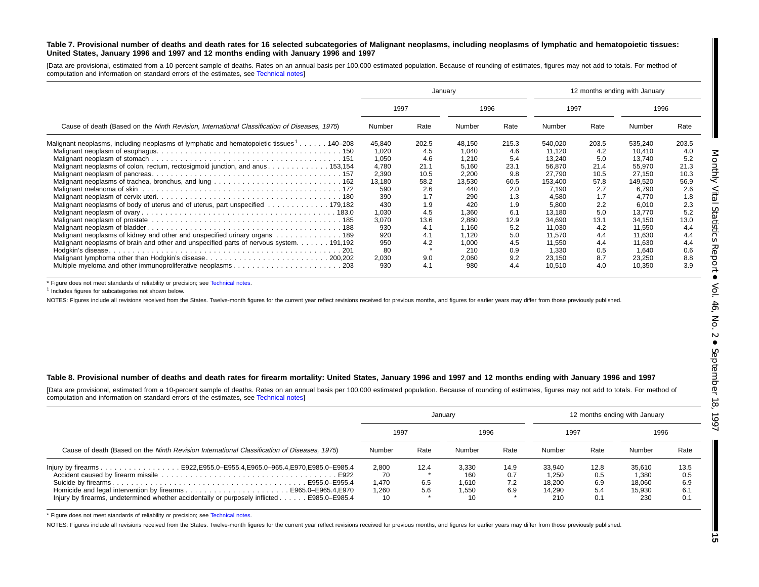#### Table 7. Provisional number of deaths and death rates for 16 selected subcategories of Malignant neoplasms, including neoplasms of lymphatic and hematopoietic tissues: United States, January 1996 and 1997 and 12 months ending with January 1996 and 1997

[Data are provisional, estimated from <sup>a</sup> 10-percent sample of deaths. Rates on an annual basis per 100,000 estimated population. Because of rounding of estimates, figures may not add to totals. For method of computation and information on standard errors of the estimates, see [Technical](#page-16-0) notes]

|                                                                                                      |        |       | January |       | 12 months ending with January |       |         |       |  |
|------------------------------------------------------------------------------------------------------|--------|-------|---------|-------|-------------------------------|-------|---------|-------|--|
|                                                                                                      | 1997   |       | 1996    |       | 1997                          |       | 1996    |       |  |
| Cause of death (Based on the Ninth Revision, International Classification of Diseases, 1975)         | Number | Rate  | Number  | Rate  | Number                        | Rate  | Number  | Rate  |  |
| Malignant neoplasms, including neoplasms of lymphatic and hematopoietic tissues <sup>1</sup> 140–208 | 45,840 | 202.5 | 48,150  | 215.3 | 540,020                       | 203.5 | 535,240 | 203.5 |  |
|                                                                                                      | 1.020  | 4.5   | 1.040   | 4.6   | 11.120                        | 4.2   | 10.410  | 4.0   |  |
|                                                                                                      | 1,050  | 4.6   | 1,210   | 5.4   | 13,240                        | 5.0   | 13,740  | 5.2   |  |
| Malignant neoplasms of colon, rectum, rectosigmoid junction, and anus 153,154                        | 4,780  | 21.1  | 5,160   | 23.1  | 56,870                        | 21.4  | 55,970  | 21.3  |  |
|                                                                                                      | 2,390  | 10.5  | 2,200   | 9.8   | 27,790                        | 10.5  | 27.150  | 10.3  |  |
|                                                                                                      | 13,180 | 58.2  | 13,530  | 60.5  | 153,400                       | 57.8  | 149,520 | 56.9  |  |
|                                                                                                      | 590    | 2.6   | 440     | 2.0   | 7,190                         | 2.7   | 6,790   | 2.6   |  |
|                                                                                                      | 390    | 1.7   | 290     | 1.3   | 4,580                         | 1.7   | 4.770   | 1.8   |  |
| Malignant neoplasms of body of uterus and of uterus, part unspecified 179,182                        | 430    | 1.9   | 420     | 1.9   | 5,800                         | 2.2   | 6,010   | 2.3   |  |
|                                                                                                      | 1,030  | 4.5   | 1,360   | 6.1   | 13,180                        | 5.0   | 13.770  | 5.2   |  |
|                                                                                                      | 3,070  | 13.6  | 2,880   | 12.9  | 34,690                        | 13.1  | 34,150  | 13.0  |  |
|                                                                                                      | 930    | 4.1   | 1,160   | 5.2   | 11,030                        | 4.2   | 11,550  | 4.4   |  |
| Malignant neoplasms of kidney and other and unspecified urinary organs 189                           | 920    | 4.1   | 1,120   | 5.0   | 11,570                        | 4.4   | 11,630  | 4.4   |  |
| Malignant neoplasms of brain and other and unspecified parts of nervous system. 191,192              | 950    | 4.2   | 1,000   | 4.5   | 11,550                        | 4.4   | 11,630  | 4.4   |  |
|                                                                                                      | 80     |       | 210     | 0.9   | 1,330                         | 0.5   | 1,640   | 0.6   |  |
| Malignant lymphoma other than Hodgkin's disease200.202                                               | 2,030  | 9.0   | 2,060   | 9.2   | 23,150                        | 8.7   | 23,250  | 8.8   |  |
| Multiple myeloma and other immunoproliferative neoplasms203                                          | 930    | 4.1   | 980     | 4.4   | 10,510                        | 4.0   | 10,350  | 3.9   |  |

\* Figure does not meet standards of reliability or precision; see [Technical](#page-16-0) notes.

<sup>1</sup> Includes figures for subcategories not shown below.

NOTES: Figures include all revisions received from the States. Twelve-month figures for the current year reflect revisions received for previous months, and figures for earlier years may differ from those previously publis

#### Table 8. Provisional number of deaths and death rates for firearm mortality: United States, January 1996 and 1997 and 12 months ending with January 1996 and 1997

[Data are provisional, estimated from <sup>a</sup> 10-percent sample of deaths. Rates on an annual basis per 100,000 estimated population. Because of rounding of estimates, figures may not add to totals. For method of computation and information on standard errors of the estimates, see [Technical](#page-16-0) notes]

|                                                                                                                                                                         |                                     |                    | January                              |                           |                                            | 12 months ending with January    |                                            |                                  |
|-------------------------------------------------------------------------------------------------------------------------------------------------------------------------|-------------------------------------|--------------------|--------------------------------------|---------------------------|--------------------------------------------|----------------------------------|--------------------------------------------|----------------------------------|
|                                                                                                                                                                         | 1997                                |                    | 1996                                 |                           | 1997                                       |                                  | 1996                                       |                                  |
| Cause of death (Based on the Ninth Revision International Classification of Diseases, 1975)                                                                             | Number                              | Rate               | Number                               | Rate                      | Number                                     | Rate                             | Number                                     | Rate                             |
| lnjury by firearms E922, E955.0–E955.4, E965.0–965.4, E970, E985.0–E985.4<br>lnjury by firearms, undetermined whether accidentally or purposely inflicted E985.0–E985.4 | 2.800<br>70<br>1.470<br>1.260<br>10 | 12.4<br>6.5<br>5.6 | 3.330<br>160<br>1.610<br>1.550<br>10 | 14.9<br>0.7<br>7.2<br>6.9 | 33.940<br>1.250<br>18.200<br>14.290<br>210 | 12.8<br>0.5<br>6.9<br>5.4<br>0.1 | 35.610<br>1.380<br>18.060<br>15.930<br>230 | 13.5<br>0.5<br>6.9<br>6.1<br>0.1 |

\* Figure does not meet standards of reliability or precision; see [Technical](#page-16-0) notes.

NOTES: Figures include all revisions received from the States. Twelve-month figures for the current year reflect revisions received for previous months, and figures for earlier years may differ from those previously publis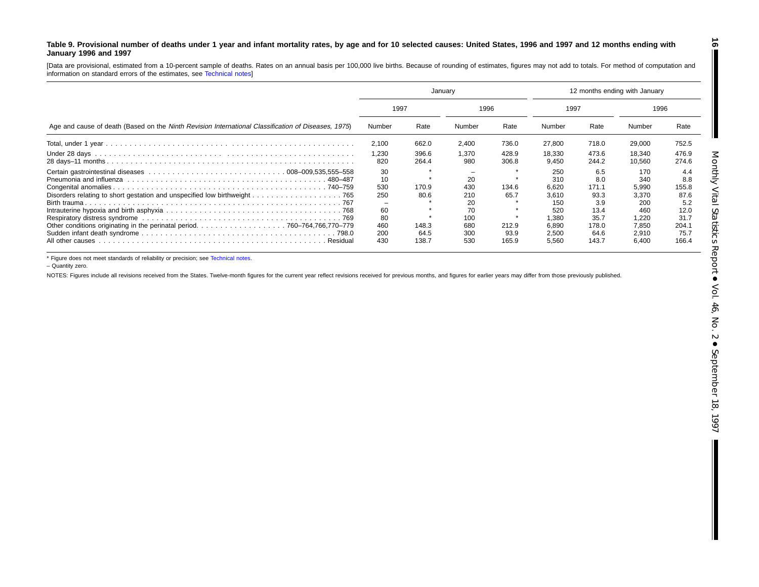#### <span id="page-15-0"></span>Table 9. Provisional number of deaths under 1 year and infant mortality rates, by age and for 10 selected causes: United States, 1996 and 1997 and 12 months ending with **January 1996 and 1997**

[Data are provisional, estimated from <sup>a</sup> 10-percent sample of deaths. Rates on an annual basis per 100,000 live births. Because of rounding of estimates, figures may not add to totals. For method of computation and information on standard errors of the estimates, see [Technical](#page-16-0) notes]

|                                                                                                     | Januarv      |                |              |                | 12 months ending with January |                |                  |                |  |
|-----------------------------------------------------------------------------------------------------|--------------|----------------|--------------|----------------|-------------------------------|----------------|------------------|----------------|--|
|                                                                                                     |              | 1997           |              | 1996           |                               | 1997           |                  | 1996           |  |
| Age and cause of death (Based on the Ninth Revision International Classification of Diseases, 1975) | Number       | Rate           | Number       | Rate           | Number                        | Rate           | Number           | Rate           |  |
|                                                                                                     | 2,100        | 662.0          | 2,400        | 736.0          | 27,800                        | 718.0          | 29,000           | 752.5          |  |
|                                                                                                     | 1,230<br>820 | 396.6<br>264.4 | 1.370<br>980 | 428.9<br>306.8 | 18,330<br>9.450               | 473.6<br>244.2 | 18.340<br>10.560 | 476.9<br>274.6 |  |
| . 480–487                                                                                           | 30<br>10     |                | 20           |                | 250<br>310                    | 6.5<br>8.0     | 170<br>340       | 4.4<br>8.8     |  |
|                                                                                                     | 530<br>250   | 170.9<br>80.6  | 430<br>210   | 134.6<br>65.7  | 6.620<br>3.610                | 171.1<br>93.3  | 5,990<br>3.370   | 155.8<br>87.6  |  |
|                                                                                                     | -<br>60      |                | 20<br>70     |                | 150<br>520                    | 3.9<br>13.4    | 200<br>460       | 5.2<br>12.0    |  |
|                                                                                                     | 80<br>460    | 148.3          | 100<br>680   | 212.9          | .380<br>6.890                 | 35.7<br>178.0  | 1,220<br>7.850   | 31.7<br>204.1  |  |
| Residual                                                                                            | 200<br>430   | 64.5<br>138.7  | 300<br>530   | 93.9<br>165.9  | 2,500<br>5,560                | 64.6<br>143.7  | 2,910<br>6,400   | 75.7<br>166.4  |  |

\* Figure does not meet standards of reliability or precision; see [Technical](#page-16-0) notes.

– Quantity zero.

NOTES: Figures include all revisions received from the States. Twelve-month figures for the current year reflect revisions received for previous months, and figures for earlier years may differ from those previously publis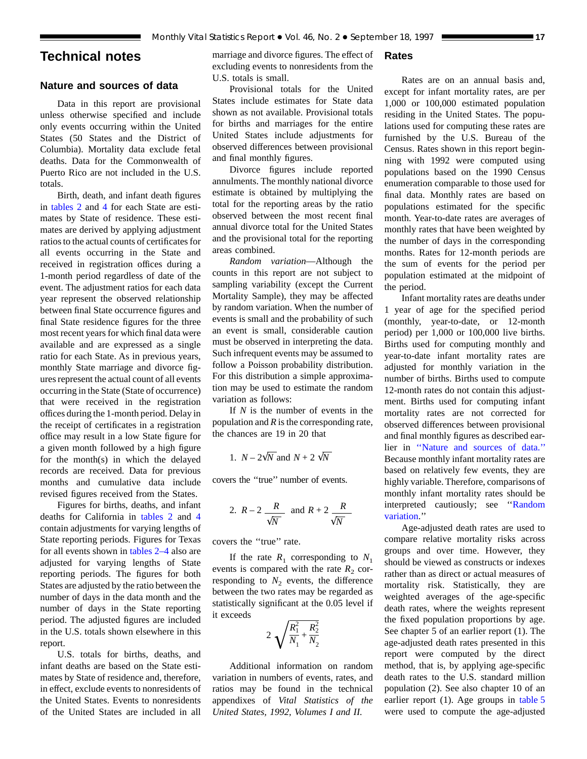## <span id="page-16-0"></span>**Technical notes**

### **Nature and sources of data**

Data in this report are provisional unless otherwise specified and include only events occurring within the United States (50 States and the District of Columbia). Mortality data exclude fetal deaths. Data for the Commonwealth of Puerto Rico are not included in the U.S. totals.

Birth, de[ath, and](#page-8-0) infant death figures in [tables 2](#page-6-0) and 4 for each State are estimates by State of residence. These estimates are derived by applying adjustment ratios to the actual counts of certificates for all events occurring in the State and received in registration offices during a 1-month period regardless of date of the event. The adjustment ratios for each data year represent the observed relationship between final State occurrence figures and final State residence figures for the three most recent years for which final data were available and are expressed as a single ratio for each State. As in previous years, monthly State marriage and divorce figures represent the actual count of all events occurring in the State (State of occurrence) that were received in the registration offices during the 1-month period. Delay in the receipt of certificates in a registration office may result in a low State figure for a given month followed by a high figure for the month(s) in which the delayed records are received. Data for previous months and cumulative data include revised figures received from the States.

Figures for births, deaths, and infant deaths for California in [tables 2](#page-6-0) a[nd](#page-8-0) 4 contain adjustments for varying lengths of State reporting periods. Figures for Texas for all events shown in [tables 2–4](#page-6-0) also are adjusted for varying lengths of State reporting periods. The figures for both States are adjusted by the ratio between the number of days in the data month and the number of days in the State reporting period. The adjusted figures are included in the U.S. totals shown elsewhere in this report.

U.S. totals for births, deaths, and infant deaths are based on the State estimates by State of residence and, therefore, in effect, exclude events to nonresidents of the United States. Events to nonresidents of the United States are included in all

marriage and divorce figures. The effect of excluding events to nonresidents from the U.S. totals is small.

## Provisional totals for the United States include estimates for State data shown as not available. Provisional totals for births and marriages for the entire United States include adjustments for observed differences between provisional and final monthly figures.

Divorce figures include reported annulments. The monthly national divorce estimate is obtained by multiplying the total for the reporting areas by the ratio observed between the most recent final annual divorce total for the United States and the provisional total for the reporting areas combined.

*Random variation*—Although the counts in this report are not subject to sampling variability (except the Current Mortality Sample), they may be affected by random variation. When the number of events is small and the probability of such an event is small, considerable caution must be observed in interpreting the data. Such infrequent events may be assumed to follow a Poisson probability distribution. For this distribution a simple approximation may be used to estimate the random variation as follows:

If *N* is the number of events in the population and *R* is the corresponding rate, the chances are 19 in 20 that

1. 
$$
N - 2\sqrt{N}
$$
 and  $N + 2\sqrt{N}$ 

covers the ''true'' number of events.

2. 
$$
R-2
$$
  $\frac{R}{\sqrt{N}}$  and  $R+2$   $\frac{R}{\sqrt{N}}$ 

covers the ''true'' rate.

If the rate  $R_1$  corresponding to  $N_1$ events is compared with the rate  $R_2$  corresponding to  $N_2$  events, the difference between the two rates may be regarded as statistically significant at the 0.05 level if it exceeds

$$
2\sqrt{\frac{R_1^2}{N_1} + \frac{R_2^2}{N_2}}
$$

Additional information on random variation in numbers of events, rates, and ratios may be found in the technical appendixes of *Vital Statistics of the United States, 1992, Volumes I and II.*

#### **Rates**

Rates are on an annual basis and, except for infant mortality rates, are per 1,000 or 100,000 estimated population residing in the United States. The populations used for computing these rates are furnished by the U.S. Bureau of the Census. Rates shown in this report beginning with 1992 were computed using populations based on the 1990 Census enumeration comparable to those used for final data. Monthly rates are based on populations estimated for the specific month. Year-to-date rates are averages of monthly rates that have been weighted by the number of days in the corresponding months. Rates for 12-month periods are the sum of events for the period per population estimated at the midpoint of the period.

Infant mortality rates are deaths under 1 year of age for the specified period (monthly, year-to-date, or 12-month period) per 1,000 or 100,000 live births. Births used for computing monthly and year-to-date infant mortality rates are adjusted for monthly variation in the number of births. Births used to compute 12-month rates do not contain this adjustment. Births used for computing infant mortality rates are not corrected for observed differences between provisional and final monthly figures as described earlier in ''Nature and sources of data.'' Because monthly infant mortality rates are based on relatively few events, they are highly variable. Therefore, comparisons of monthly infant mortality rates should be interpreted cautiously; see ''Random variation.''

Age-adjusted death rates are used to compare relative mortality risks across groups and over time. However, they should be viewed as constructs or indexes rather than as direct or actual measures of mortality risk. Statistically, they are weighted averages of the age-specific death rates, where the weights represent the fixed population proportions by age. See chapter 5 of an earlier report (1). The age-adjusted death rates presented in this report were computed by the direct method, that is, by applying age-specific death rates to the U.S. standard million population (2). See also chapter 10 of an earlier report (1). Age groups in [table 5](#page-9-0) were used to compute the age-adjusted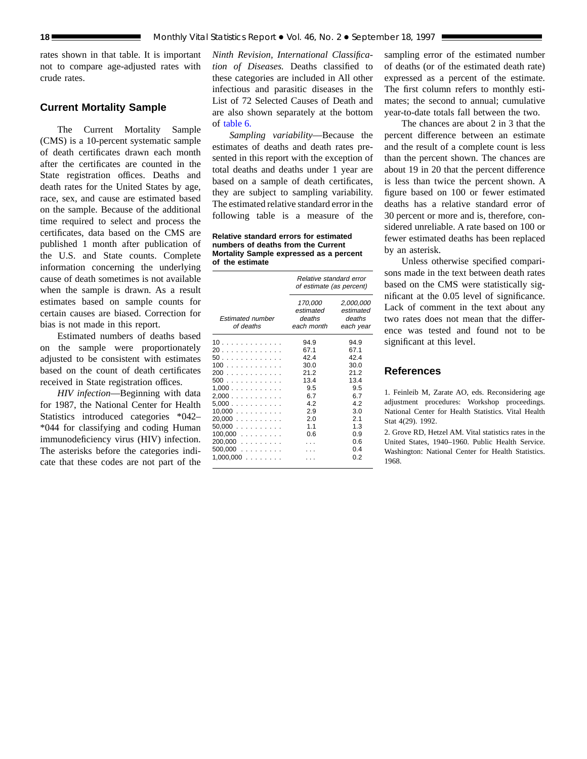rates shown in that table. It is important not to compare age-adjusted rates with crude rates.

#### **Current Mortality Sample**

The Current Mortality Sample (CMS) is a 10-percent systematic sample of death certificates drawn each month after the certificates are counted in the State registration offices. Deaths and death rates for the United States by age, race, sex, and cause are estimated based on the sample. Because of the additional time required to select and process the certificates, data based on the CMS are published 1 month after publication of the U.S. and State counts. Complete information concerning the underlying cause of death sometimes is not available when the sample is drawn. As a result estimates based on sample counts for certain causes are biased. Correction for bias is not made in this report.

Estimated numbers of deaths based on the sample were proportionately adjusted to be consistent with estimates based on the count of death certificates received in State registration offices.

*HIV infection*—Beginning with data for 1987, the National Center for Health Statistics introduced categories \*042– \*044 for classifying and coding Human immunodeficiency virus (HIV) infection. The asterisks before the categories indicate that these codes are not part of the

*Ninth Revision, International Classification of Diseases.* Deaths classified to these categories are included in All other infectious and parasitic diseases in the List of 72 Selected Causes of Death and are also shown separately at the bottom of [table 6.](#page-12-0)

*Sampling variability*—Because the estimates of deaths and death rates presented in this report with the exception of total deaths and deaths under 1 year are based on a sample of death certificates, they are subject to sampling variability. The estimated relative standard error in the following table is a measure of the

**Relative standard errors for estimated numbers of deaths from the Current Mortality Sample expressed as a percent of the estimate**

|                                                                                                                        | Relative standard error<br>of estimate (as percent)                                           |                                                                                                      |  |  |  |
|------------------------------------------------------------------------------------------------------------------------|-----------------------------------------------------------------------------------------------|------------------------------------------------------------------------------------------------------|--|--|--|
| <b>Estimated number</b><br>of deaths                                                                                   | 170,000<br>estimated<br>deaths<br>each month                                                  | 2,000,000<br>estimated<br>deaths<br>each year                                                        |  |  |  |
| 10<br>20<br>50<br>100<br>200<br>500<br>1,000<br>2,000<br>5,000<br>10,000<br>20.000<br>50,000<br>$100,000$<br>$200,000$ | 94.9<br>67.1<br>42.4<br>30.0<br>21.2<br>13.4<br>9.5<br>6.7<br>4.2<br>2.9<br>2.0<br>1.1<br>0.6 | 94.9<br>67.1<br>42.4<br>30.0<br>21.2<br>13.4<br>9.5<br>6.7<br>4.2<br>3.0<br>2.1<br>1.3<br>0.9<br>0.6 |  |  |  |
| 500,000<br>$1,000,000$                                                                                                 |                                                                                               | 0.4<br>0.2                                                                                           |  |  |  |

sampling error of the estimated number of deaths (or of the estimated death rate) expressed as a percent of the estimate. The first column refers to monthly estimates; the second to annual; cumulative year-to-date totals fall between the two.

The chances are about 2 in 3 that the percent difference between an estimate and the result of a complete count is less than the percent shown. The chances are about 19 in 20 that the percent difference is less than twice the percent shown. A figure based on 100 or fewer estimated deaths has a relative standard error of 30 percent or more and is, therefore, considered unreliable. A rate based on 100 or fewer estimated deaths has been replaced by an asterisk.

Unless otherwise specified comparisons made in the text between death rates based on the CMS were statistically significant at the 0.05 level of significance. Lack of comment in the text about any two rates does not mean that the difference was tested and found not to be significant at this level.

#### **References**

1. Feinleib M, Zarate AO, eds. Reconsidering age adjustment procedures: Workshop proceedings. National Center for Health Statistics. Vital Health Stat 4(29). 1992.

2. Grove RD, Hetzel AM. Vital statistics rates in the United States, 1940–1960. Public Health Service. Washington: National Center for Health Statistics. 1968.